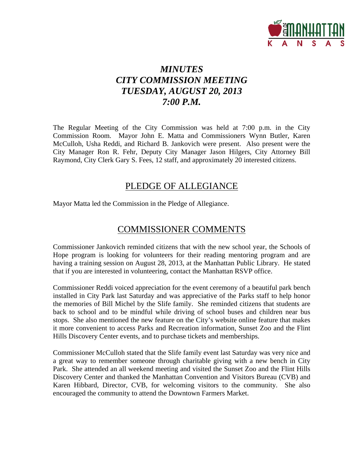

# *MINUTES CITY COMMISSION MEETING TUESDAY, AUGUST 20, 2013 7:00 P.M.*

The Regular Meeting of the City Commission was held at 7:00 p.m. in the City Commission Room. Mayor John E. Matta and Commissioners Wynn Butler, Karen McCulloh, Usha Reddi, and Richard B. Jankovich were present. Also present were the City Manager Ron R. Fehr, Deputy City Manager Jason Hilgers, City Attorney Bill Raymond, City Clerk Gary S. Fees, 12 staff, and approximately 20 interested citizens.

## PLEDGE OF ALLEGIANCE

Mayor Matta led the Commission in the Pledge of Allegiance.

## COMMISSIONER COMMENTS

Commissioner Jankovich reminded citizens that with the new school year, the Schools of Hope program is looking for volunteers for their reading mentoring program and are having a training session on August 28, 2013, at the Manhattan Public Library. He stated that if you are interested in volunteering, contact the Manhattan RSVP office.

Commissioner Reddi voiced appreciation for the event ceremony of a beautiful park bench installed in City Park last Saturday and was appreciative of the Parks staff to help honor the memories of Bill Michel by the Slife family. She reminded citizens that students are back to school and to be mindful while driving of school buses and children near bus stops. She also mentioned the new feature on the City's website online feature that makes it more convenient to access Parks and Recreation information, Sunset Zoo and the Flint Hills Discovery Center events, and to purchase tickets and memberships.

Commissioner McCulloh stated that the Slife family event last Saturday was very nice and a great way to remember someone through charitable giving with a new bench in City Park. She attended an all weekend meeting and visited the Sunset Zoo and the Flint Hills Discovery Center and thanked the Manhattan Convention and Visitors Bureau (CVB) and Karen Hibbard, Director, CVB, for welcoming visitors to the community. She also encouraged the community to attend the Downtown Farmers Market.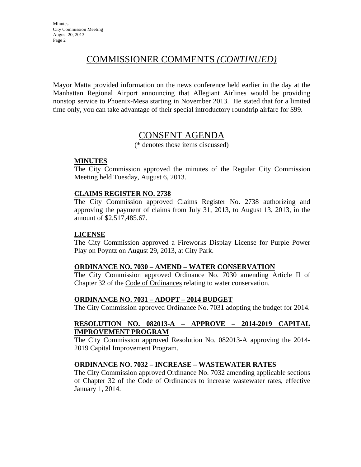## COMMISSIONER COMMENTS *(CONTINUED)*

Mayor Matta provided information on the news conference held earlier in the day at the Manhattan Regional Airport announcing that Allegiant Airlines would be providing nonstop service to Phoenix-Mesa starting in November 2013. He stated that for a limited time only, you can take advantage of their special introductory roundtrip airfare for \$99.

## CONSENT AGENDA

(\* denotes those items discussed)

### **MINUTES**

The City Commission approved the minutes of the Regular City Commission Meeting held Tuesday, August 6, 2013.

#### **CLAIMS REGISTER NO. 2738**

The City Commission approved Claims Register No. 2738 authorizing and approving the payment of claims from July 31, 2013, to August 13, 2013, in the amount of \$2,517,485.67.

#### **LICENSE**

The City Commission approved a Fireworks Display License for Purple Power Play on Poyntz on August 29, 2013, at City Park.

#### **ORDINANCE NO. 7030 – AMEND – WATER CONSERVATION**

The City Commission approved Ordinance No. 7030 amending Article II of Chapter 32 of the Code of Ordinances relating to water conservation.

## **ORDINANCE NO. 7031 – ADOPT – 2014 BUDGET**

The City Commission approved Ordinance No. 7031 adopting the budget for 2014.

### **RESOLUTION NO. 082013-A – APPROVE – 2014-2019 CAPITAL IMPROVEMENT PROGRAM**

The City Commission approved Resolution No. 082013-A approving the 2014- 2019 Capital Improvement Program.

## **ORDINANCE NO. 7032 – INCREASE – WASTEWATER RATES**

The City Commission approved Ordinance No. 7032 amending applicable sections of Chapter 32 of the Code of Ordinances to increase wastewater rates, effective January 1, 2014.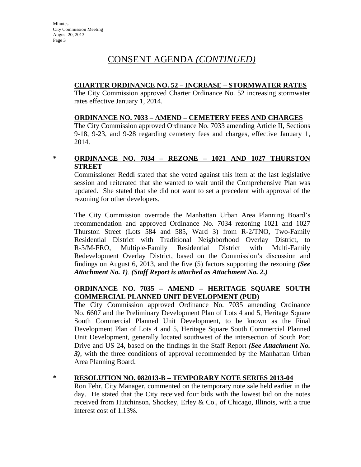### **CHARTER ORDINANCE NO. 52 – INCREASE – STORMWATER RATES**

The City Commission approved Charter Ordinance No. 52 increasing stormwater rates effective January 1, 2014.

### **ORDINANCE NO. 7033 – AMEND – CEMETERY FEES AND CHARGES**

The City Commission approved Ordinance No. 7033 amending Article II, Sections 9-18, 9-23, and 9-28 regarding cemetery fees and charges, effective January 1, 2014.

## **\* ORDINANCE NO. 7034 – REZONE – 1021 AND 1027 THURSTON STREET**

Commissioner Reddi stated that she voted against this item at the last legislative session and reiterated that she wanted to wait until the Comprehensive Plan was updated. She stated that she did not want to set a precedent with approval of the rezoning for other developers.

The City Commission overrode the Manhattan Urban Area Planning Board's recommendation and approved Ordinance No. 7034 rezoning 1021 and 1027 Thurston Street (Lots 584 and 585, Ward 3) from R-2/TNO, Two-Family Residential District with Traditional Neighborhood Overlay District, to R-3/M-FRO, Multiple-Family Residential District with Multi-Family Redevelopment Overlay District, based on the Commission's discussion and findings on August 6, 2013, and the five (5) factors supporting the rezoning *(See Attachment No. 1)*. *(Staff Report is attached as Attachment No. 2.)*

## **ORDINANCE NO. 7035 – AMEND – HERITAGE SQUARE SOUTH COMMERCIAL PLANNED UNIT DEVELOPMENT (PUD)**

The City Commission approved Ordinance No. 7035 amending Ordinance No. 6607 and the Preliminary Development Plan of Lots 4 and 5, Heritage Square South Commercial Planned Unit Development, to be known as the Final Development Plan of Lots 4 and 5, Heritage Square South Commercial Planned Unit Development, generally located southwest of the intersection of South Port Drive and US 24, based on the findings in the Staff Report *(See Attachment No. 3)*, with the three conditions of approval recommended by the Manhattan Urban Area Planning Board.

## **\* RESOLUTION NO. 082013-B – TEMPORARY NOTE SERIES 2013-04**

Ron Fehr, City Manager, commented on the temporary note sale held earlier in the day. He stated that the City received four bids with the lowest bid on the notes received from Hutchinson, Shockey, Erley & Co., of Chicago, Illinois, with a true interest cost of 1.13%.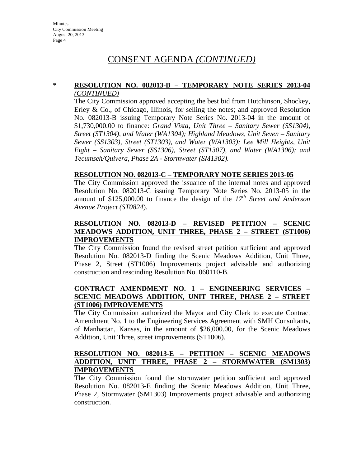#### **\* RESOLUTION NO. 082013-B – TEMPORARY NOTE SERIES 2013-04** *(CONTINUED)*

The City Commission approved accepting the best bid from Hutchinson, Shockey, Erley & Co., of Chicago, Illinois, for selling the notes; and approved Resolution No. 082013-B issuing Temporary Note Series No. 2013-04 in the amount of \$1,730,000.00 to finance: *Grand Vista, Unit Three – Sanitary Sewer (SS1304), Street (ST1304), and Water (WA1304); Highland Meadows, Unit Seven – Sanitary Sewer (SS1303), Street (ST1303), and Water (WA1303); Lee Mill Heights, Unit Eight – Sanitary Sewer (SS1306), Street (ST1307), and Water (WA1306); and Tecumseh/Quivera, Phase 2A - Stormwater (SM1302).* 

### **RESOLUTION NO. 082013-C – TEMPORARY NOTE SERIES 2013-05**

The City Commission approved the issuance of the internal notes and approved Resolution No. 082013-C issuing Temporary Note Series No. 2013-05 in the amount of \$125,000.00 to finance the design of the *17th Street and Anderson Avenue Project (ST0824*).

## **RESOLUTION NO. 082013-D – REVISED PETITION – SCENIC MEADOWS ADDITION, UNIT THREE, PHASE 2 – STREET (ST1006) IMPROVEMENTS**

The City Commission found the revised street petition sufficient and approved Resolution No. 082013-D finding the Scenic Meadows Addition, Unit Three, Phase 2, Street (ST1006) Improvements project advisable and authorizing construction and rescinding Resolution No. 060110-B.

## **CONTRACT AMENDMENT NO. 1 – ENGINEERING SERVICES – SCENIC MEADOWS ADDITION, UNIT THREE, PHASE 2 – STREET (ST1006) IMPROVEMENTS**

The City Commission authorized the Mayor and City Clerk to execute Contract Amendment No. 1 to the Engineering Services Agreement with SMH Consultants, of Manhattan, Kansas, in the amount of \$26,000.00, for the Scenic Meadows Addition, Unit Three, street improvements (ST1006).

#### **RESOLUTION NO. 082013-E – PETITION – SCENIC MEADOWS ADDITION, UNIT THREE, PHASE 2 – STORMWATER (SM1303) IMPROVEMENTS**

The City Commission found the stormwater petition sufficient and approved Resolution No. 082013-E finding the Scenic Meadows Addition, Unit Three, Phase 2, Stormwater (SM1303) Improvements project advisable and authorizing construction.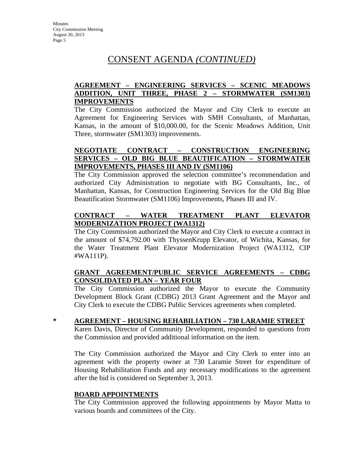## **AGREEMENT – ENGINEERING SERVICES – SCENIC MEADOWS ADDITION, UNIT THREE, PHASE 2 – STORMWATER (SM1303) IMPROVEMENTS**

The City Commission authorized the Mayor and City Clerk to execute an Agreement for Engineering Services with SMH Consultants, of Manhattan, Kansas, in the amount of \$10,000.00, for the Scenic Meadows Addition, Unit Three, stormwater (SM1303) improvements.

## **NEGOTIATE CONTRACT – CONSTRUCTION ENGINEERING SERVICES – OLD BIG BLUE BEAUTIFICATION – STORMWATER IMPROVEMENTS, PHASES III AND IV (SM1106)**

The City Commission approved the selection committee's recommendation and authorized City Administration to negotiate with BG Consultants, Inc., of Manhattan, Kansas, for Construction Engineering Services for the Old Big Blue Beautification Stormwater (SM1106) Improvements, Phases III and IV.

## **CONTRACT – WATER TREATMENT PLANT ELEVATOR MODERNIZATION PROJECT (WA1312)**

The City Commission authorized the Mayor and City Clerk to execute a contract in the amount of \$74,792.00 with ThyssenKrupp Elevator, of Wichita, Kansas, for the Water Treatment Plant Elevator Modernization Project (WA1312, CIP #WA111P).

### **GRANT AGREEMENT/PUBLIC SERVICE AGREEMENTS – CDBG CONSOLIDATED PLAN – YEAR FOUR**

The City Commission authorized the Mayor to execute the Community Development Block Grant (CDBG) 2013 Grant Agreement and the Mayor and City Clerk to execute the CDBG Public Services agreements when completed.

## **\* AGREEMENT – HOUSING REHABILIATION – 730 LARAMIE STREET**

Karen Davis, Director of Community Development, responded to questions from the Commission and provided additional information on the item.

The City Commission authorized the Mayor and City Clerk to enter into an agreement with the property owner at 730 Laramie Street for expenditure of Housing Rehabilitation Funds and any necessary modifications to the agreement after the bid is considered on September 3, 2013.

## **BOARD APPOINTMENTS**

The City Commission approved the following appointments by Mayor Matta to various boards and committees of the City.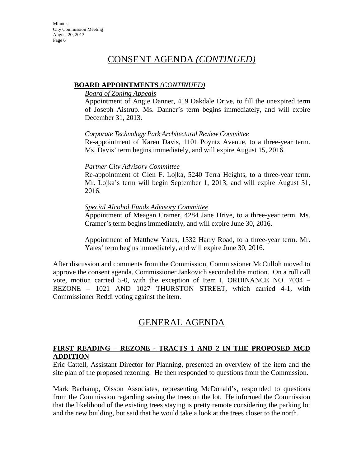### **BOARD APPOINTMENTS** *(CONTINUED)*

#### *Board of Zoning Appeals*

Appointment of Angie Danner, 419 Oakdale Drive, to fill the unexpired term of Joseph Aistrup. Ms. Danner's term begins immediately, and will expire December 31, 2013.

### *Corporate Technology Park Architectural Review Committee*

Re-appointment of Karen Davis, 1101 Poyntz Avenue, to a three-year term. Ms. Davis' term begins immediately, and will expire August 15, 2016.

### *Partner City Advisory Committee*

Re-appointment of Glen F. Lojka, 5240 Terra Heights, to a three-year term. Mr. Lojka's term will begin September 1, 2013, and will expire August 31, 2016.

### *Special Alcohol Funds Advisory Committee*

Appointment of Meagan Cramer, 4284 Jane Drive, to a three-year term. Ms. Cramer's term begins immediately, and will expire June 30, 2016.

Appointment of Matthew Yates, 1532 Harry Road, to a three-year term. Mr. Yates' term begins immediately, and will expire June 30, 2016.

After discussion and comments from the Commission, Commissioner McCulloh moved to approve the consent agenda. Commissioner Jankovich seconded the motion. On a roll call vote, motion carried 5-0, with the exception of Item I, ORDINANCE NO. 7034 – REZONE – 1021 AND 1027 THURSTON STREET, which carried 4-1, with Commissioner Reddi voting against the item.

# GENERAL AGENDA

## **FIRST READING – REZONE - TRACTS 1 AND 2 IN THE PROPOSED MCD ADDITION**

Eric Cattell, Assistant Director for Planning, presented an overview of the item and the site plan of the proposed rezoning. He then responded to questions from the Commission.

Mark Bachamp, Olsson Associates, representing McDonald's, responded to questions from the Commission regarding saving the trees on the lot. He informed the Commission that the likelihood of the existing trees staying is pretty remote considering the parking lot and the new building, but said that he would take a look at the trees closer to the north.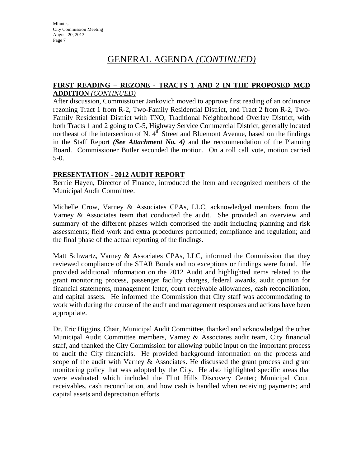# GENERAL AGENDA *(CONTINUED)*

#### **FIRST READING – REZONE - TRACTS 1 AND 2 IN THE PROPOSED MCD ADDITION** *(CONTINUED)*

After discussion, Commissioner Jankovich moved to approve first reading of an ordinance rezoning Tract 1 from R-2, Two-Family Residential District, and Tract 2 from R-2, Two-Family Residential District with TNO, Traditional Neighborhood Overlay District, with both Tracts 1 and 2 going to C-5, Highway Service Commercial District, generally located northeast of the intersection of N.  $4^{\text{th}}$  Street and Bluemont Avenue, based on the findings in the Staff Report *(See Attachment No. 4)* and the recommendation of the Planning Board. Commissioner Butler seconded the motion. On a roll call vote, motion carried 5-0.

### **PRESENTATION - 2012 AUDIT REPORT**

Bernie Hayen, Director of Finance, introduced the item and recognized members of the Municipal Audit Committee.

Michelle Crow, Varney & Associates CPAs, LLC, acknowledged members from the Varney & Associates team that conducted the audit. She provided an overview and summary of the different phases which comprised the audit including planning and risk assessments; field work and extra procedures performed; compliance and regulation; and the final phase of the actual reporting of the findings.

Matt Schwartz, Varney & Associates CPAs, LLC, informed the Commission that they reviewed compliance of the STAR Bonds and no exceptions or findings were found. He provided additional information on the 2012 Audit and highlighted items related to the grant monitoring process, passenger facility charges, federal awards, audit opinion for financial statements, management letter, court receivable allowances, cash reconciliation, and capital assets. He informed the Commission that City staff was accommodating to work with during the course of the audit and management responses and actions have been appropriate.

Dr. Eric Higgins, Chair, Municipal Audit Committee, thanked and acknowledged the other Municipal Audit Committee members, Varney & Associates audit team, City financial staff, and thanked the City Commission for allowing public input on the important process to audit the City financials. He provided background information on the process and scope of the audit with Varney & Associates. He discussed the grant process and grant monitoring policy that was adopted by the City. He also highlighted specific areas that were evaluated which included the Flint Hills Discovery Center; Municipal Court receivables, cash reconciliation, and how cash is handled when receiving payments; and capital assets and depreciation efforts.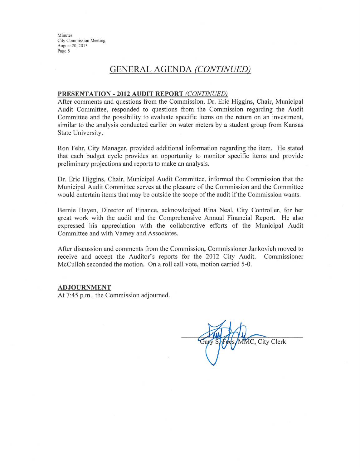Minutes **City Commission Meeting** August 20, 2013 Page 8

## **GENERAL AGENDA (CONTINUED)**

#### PRESENTATION - 2012 AUDIT REPORT (CONTINUED)

After comments and questions from the Commission, Dr. Eric Higgins, Chair, Municipal Audit Committee, responded to questions from the Commission regarding the Audit Committee and the possibility to evaluate specific items on the return on an investment, similar to the analysis conducted earlier on water meters by a student group from Kansas State University.

Ron Fehr, City Manager, provided additional information regarding the item. He stated that each budget cycle provides an opportunity to monitor specific items and provide preliminary projections and reports to make an analysis.

Dr. Eric Higgins, Chair, Municipal Audit Committee, informed the Commission that the Municipal Audit Committee serves at the pleasure of the Commission and the Committee would entertain items that may be outside the scope of the audit if the Commission wants.

Bernie Hayen, Director of Finance, acknowledged Rina Neal, City Controller, for her great work with the audit and the Comprehensive Annual Financial Report. He also expressed his appreciation with the collaborative efforts of the Municipal Audit Committee and with Varney and Associates.

After discussion and comments from the Commission, Commissioner Jankovich moved to receive and accept the Auditor's reports for the 2012 City Audit. Commissioner McCulloh seconded the motion. On a roll call vote, motion carried 5-0.

#### **ADJOURNMENT**

At 7:45 p.m., the Commission adjourned.

MC, City Clerk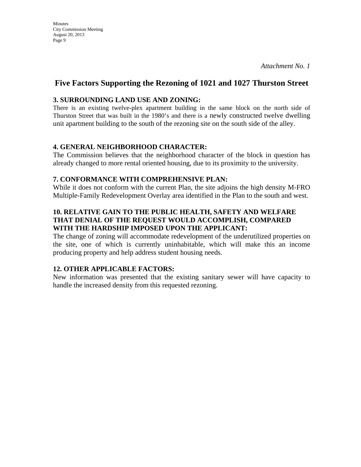### **3. SURROUNDING LAND USE AND ZONING:**

**Minutes** 

City Commission Meeting August 20, 2013 Page 9

There is an existing twelve-plex apartment building in the same block on the north side of Thurston Street that was built in the 1980's and there is a newly constructed twelve dwelling unit apartment building to the south of the rezoning site on the south side of the alley.

### **4. GENERAL NEIGHBORHOOD CHARACTER:**

The Commission believes that the neighborhood character of the block in question has already changed to more rental oriented housing, due to its proximity to the university.

#### **7. CONFORMANCE WITH COMPREHENSIVE PLAN:**

While it does not conform with the current Plan, the site adjoins the high density M-FRO Multiple-Family Redevelopment Overlay area identified in the Plan to the south and west.

## **10. RELATIVE GAIN TO THE PUBLIC HEALTH, SAFETY AND WELFARE THAT DENIAL OF THE REQUEST WOULD ACCOMPLISH, COMPARED WITH THE HARDSHIP IMPOSED UPON THE APPLICANT:**

The change of zoning will accommodate redevelopment of the underutilized properties on the site, one of which is currently uninhabitable, which will make this an income producing property and help address student housing needs.

## **12. OTHER APPLICABLE FACTORS:**

New information was presented that the existing sanitary sewer will have capacity to handle the increased density from this requested rezoning.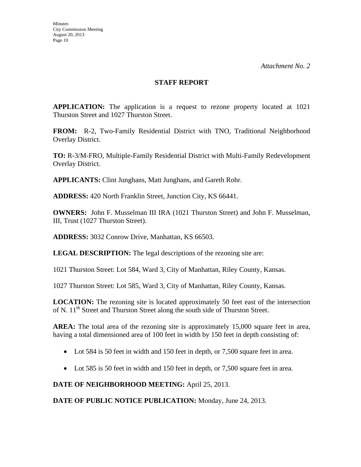#### **STAFF REPORT**

**APPLICATION:** The application is a request to rezone property located at 1021 Thurston Street and 1027 Thurston Street.

**FROM:** R-2, Two-Family Residential District with TNO, Traditional Neighborhood Overlay District.

**TO:** R-3/M-FRO, Multiple-Family Residential District with Multi-Family Redevelopment Overlay District.

**APPLICANTS:** Clint Junghans, Matt Junghans, and Gareth Rohr.

**ADDRESS:** 420 North Franklin Street, Junction City, KS 66441.

**OWNERS:** John F. Musselman III IRA (1021 Thurston Street) and John F. Musselman, III, Trust (1027 Thurston Street).

**ADDRESS:** 3032 Conrow Drive, Manhattan, KS 66503.

**LEGAL DESCRIPTION:** The legal descriptions of the rezoning site are:

1021 Thurston Street: Lot 584, Ward 3, City of Manhattan, Riley County, Kansas.

1027 Thurston Street: Lot 585, Ward 3, City of Manhattan, Riley County, Kansas.

**LOCATION:** The rezoning site is located approximately 50 feet east of the intersection of N. 11<sup>th</sup> Street and Thurston Street along the south side of Thurston Street.

**AREA:** The total area of the rezoning site is approximately 15,000 square feet in area, having a total dimensioned area of 100 feet in width by 150 feet in depth consisting of:

- Lot 584 is 50 feet in width and 150 feet in depth, or 7,500 square feet in area.
- Lot 585 is 50 feet in width and 150 feet in depth, or 7,500 square feet in area.

**DATE OF NEIGHBORHOOD MEETING:** April 25, 2013.

**DATE OF PUBLIC NOTICE PUBLICATION:** Monday, June 24, 2013.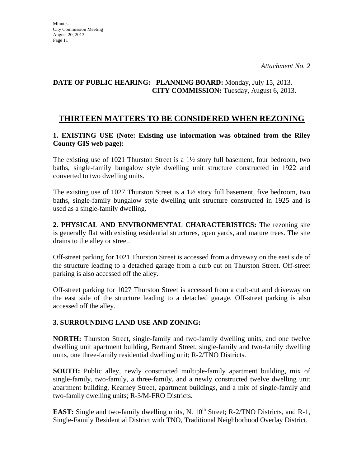## **DATE OF PUBLIC HEARING: PLANNING BOARD:** Monday, July 15, 2013. **CITY COMMISSION:** Tuesday, August 6, 2013.

## **THIRTEEN MATTERS TO BE CONSIDERED WHEN REZONING**

## **1. EXISTING USE (Note: Existing use information was obtained from the Riley County GIS web page):**

The existing use of 1021 Thurston Street is a  $1\frac{1}{2}$  story full basement, four bedroom, two baths, single-family bungalow style dwelling unit structure constructed in 1922 and converted to two dwelling units.

The existing use of 1027 Thurston Street is a  $1\frac{1}{2}$  story full basement, five bedroom, two baths, single-family bungalow style dwelling unit structure constructed in 1925 and is used as a single-family dwelling.

**2. PHYSICAL AND ENVIRONMENTAL CHARACTERISTICS:** The rezoning site is generally flat with existing residential structures, open yards, and mature trees. The site drains to the alley or street.

Off-street parking for 1021 Thurston Street is accessed from a driveway on the east side of the structure leading to a detached garage from a curb cut on Thurston Street. Off-street parking is also accessed off the alley.

Off-street parking for 1027 Thurston Street is accessed from a curb-cut and driveway on the east side of the structure leading to a detached garage. Off-street parking is also accessed off the alley.

## **3. SURROUNDING LAND USE AND ZONING:**

**NORTH:** Thurston Street, single-family and two-family dwelling units, and one twelve dwelling unit apartment building, Bertrand Street, single-family and two-family dwelling units, one three-family residential dwelling unit; R-2/TNO Districts.

**SOUTH:** Public alley, newly constructed multiple-family apartment building, mix of single-family, two-family, a three-family, and a newly constructed twelve dwelling unit apartment building, Kearney Street, apartment buildings, and a mix of single-family and two-family dwelling units; R-3/M-FRO Districts.

**EAST:** Single and two-family dwelling units, N. 10<sup>th</sup> Street; R-2/TNO Districts, and R-1, Single-Family Residential District with TNO, Traditional Neighborhood Overlay District.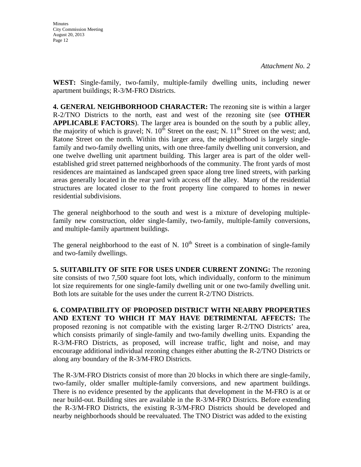**WEST:** Single-family, two-family, multiple-family dwelling units, including newer apartment buildings; R-3/M-FRO Districts.

**4. GENERAL NEIGHBORHOOD CHARACTER:** The rezoning site is within a larger R-2/TNO Districts to the north, east and west of the rezoning site (see **OTHER APPLICABLE FACTORS**). The larger area is bounded on the south by a public alley, the majority of which is gravel; N.  $10^{th}$  Street on the east; N.  $11^{th}$  Street on the west; and, Ratone Street on the north. Within this larger area, the neighborhood is largely singlefamily and two-family dwelling units, with one three-family dwelling unit conversion, and one twelve dwelling unit apartment building. This larger area is part of the older wellestablished grid street patterned neighborhoods of the community. The front yards of most residences are maintained as landscaped green space along tree lined streets, with parking areas generally located in the rear yard with access off the alley. Many of the residential structures are located closer to the front property line compared to homes in newer residential subdivisions.

The general neighborhood to the south and west is a mixture of developing multiplefamily new construction, older single-family, two-family, multiple-family conversions, and multiple-family apartment buildings.

The general neighborhood to the east of N.  $10^{th}$  Street is a combination of single-family and two-family dwellings.

**5. SUITABILITY OF SITE FOR USES UNDER CURRENT ZONING:** The rezoning site consists of two 7,500 square foot lots, which individually, conform to the minimum lot size requirements for one single-family dwelling unit or one two-family dwelling unit. Both lots are suitable for the uses under the current R-2/TNO Districts.

**6. COMPATIBILITY OF PROPOSED DISTRICT WITH NEARBY PROPERTIES AND EXTENT TO WHICH IT MAY HAVE DETRIMENTAL AFFECTS:** The proposed rezoning is not compatible with the existing larger R-2/TNO Districts' area, which consists primarily of single-family and two-family dwelling units. Expanding the R-3/M-FRO Districts, as proposed, will increase traffic, light and noise, and may encourage additional individual rezoning changes either abutting the R-2/TNO Districts or along any boundary of the R-3/M-FRO Districts.

The R-3/M-FRO Districts consist of more than 20 blocks in which there are single-family, two-family, older smaller multiple-family conversions, and new apartment buildings. There is no evidence presented by the applicants that development in the M-FRO is at or near build-out. Building sites are available in the R-3/M-FRO Districts. Before extending the R-3/M-FRO Districts, the existing R-3/M-FRO Districts should be developed and nearby neighborhoods should be reevaluated. The TNO District was added to the existing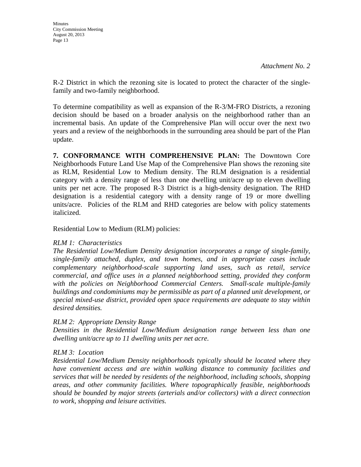R-2 District in which the rezoning site is located to protect the character of the singlefamily and two-family neighborhood.

To determine compatibility as well as expansion of the R-3/M-FRO Districts, a rezoning decision should be based on a broader analysis on the neighborhood rather than an incremental basis. An update of the Comprehensive Plan will occur over the next two years and a review of the neighborhoods in the surrounding area should be part of the Plan update.

**7. CONFORMANCE WITH COMPREHENSIVE PLAN:** The Downtown Core Neighborhoods Future Land Use Map of the Comprehensive Plan shows the rezoning site as RLM, Residential Low to Medium density. The RLM designation is a residential category with a density range of less than one dwelling unit/acre up to eleven dwelling units per net acre. The proposed R-3 District is a high-density designation. The RHD designation is a residential category with a density range of 19 or more dwelling units/acre. Policies of the RLM and RHD categories are below with policy statements italicized.

Residential Low to Medium (RLM) policies:

## *RLM 1: Characteristics*

*The Residential Low/Medium Density designation incorporates a range of single-family, single-family attached, duplex, and town homes, and in appropriate cases include complementary neighborhood-scale supporting land uses, such as retail, service commercial, and office uses in a planned neighborhood setting, provided they conform*  with the policies on Neighborhood Commercial Centers. Small-scale multiple-family *buildings and condominiums may be permissible as part of a planned unit development, or special mixed-use district, provided open space requirements are adequate to stay within desired densities.* 

## *RLM 2: Appropriate Density Range*

*Densities in the Residential Low/Medium designation range between less than one dwelling unit/acre up to 11 dwelling units per net acre.* 

## *RLM 3: Location*

*Residential Low/Medium Density neighborhoods typically should be located where they have convenient access and are within walking distance to community facilities and services that will be needed by residents of the neighborhood, including schools, shopping areas, and other community facilities. Where topographically feasible, neighborhoods should be bounded by major streets (arterials and/or collectors) with a direct connection to work, shopping and leisure activities.*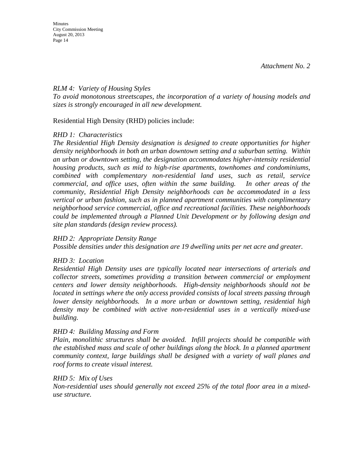### *RLM 4: Variety of Housing Styles*

*To avoid monotonous streetscapes, the incorporation of a variety of housing models and sizes is strongly encouraged in all new development.* 

Residential High Density (RHD) policies include:

### *RHD 1: Characteristics*

*The Residential High Density designation is designed to create opportunities for higher density neighborhoods in both an urban downtown setting and a suburban setting. Within an urban or downtown setting, the designation accommodates higher-intensity residential housing products, such as mid to high-rise apartments, townhomes and condominiums, combined with complementary non-residential land uses, such as retail, service commercial, and office uses, often within the same building. In other areas of the community, Residential High Density neighborhoods can be accommodated in a less vertical or urban fashion, such as in planned apartment communities with complimentary neighborhood service commercial, office and recreational facilities. These neighborhoods could be implemented through a Planned Unit Development or by following design and site plan standards (design review process).* 

#### *RHD 2: Appropriate Density Range*

*Possible densities under this designation are 19 dwelling units per net acre and greater.* 

## *RHD 3: Location*

*Residential High Density uses are typically located near intersections of arterials and collector streets, sometimes providing a transition between commercial or employment centers and lower density neighborhoods. High-density neighborhoods should not be located in settings where the only access provided consists of local streets passing through lower density neighborhoods. In a more urban or downtown setting, residential high density may be combined with active non-residential uses in a vertically mixed-use building.* 

#### *RHD 4: Building Massing and Form*

*Plain, monolithic structures shall be avoided. Infill projects should be compatible with the established mass and scale of other buildings along the block. In a planned apartment community context, large buildings shall be designed with a variety of wall planes and roof forms to create visual interest.* 

#### *RHD 5: Mix of Uses*

*Non-residential uses should generally not exceed 25% of the total floor area in a mixeduse structure.*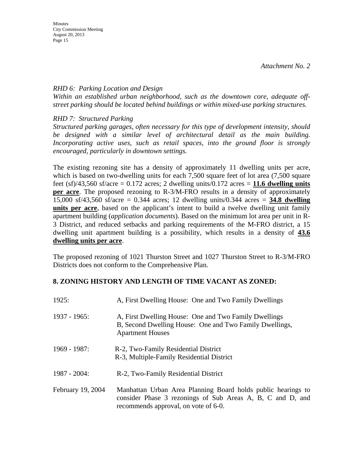### *RHD 6: Parking Location and Design*

*Within an established urban neighborhood, such as the downtown core, adequate offstreet parking should be located behind buildings or within mixed-use parking structures.* 

*RHD 7: Structured Parking* 

*Structured parking garages, often necessary for this type of development intensity, should be designed with a similar level of architectural detail as the main building. Incorporating active uses, such as retail spaces, into the ground floor is strongly encouraged, particularly in downtown settings.* 

The existing rezoning site has a density of approximately 11 dwelling units per acre, which is based on two-dwelling units for each 7,500 square feet of lot area  $(7,500)$  square feet  $(sf)/43,560$  sf/acre = 0.172 acres; 2 dwelling units/0.172 acres = 11.6 dwelling units **per acre**. The proposed rezoning to R-3/M-FRO results in a density of approximately 15,000 sf/43,560 sf/acre = 0.344 acres; 12 dwelling units/0.344 acres = **34.8 dwelling units per acre**, based on the applicant's intent to build a twelve dwelling unit family apartment building (*application documents*). Based on the minimum lot area per unit in R-3 District, and reduced setbacks and parking requirements of the M-FRO district, a 15 dwelling unit apartment building is a possibility, which results in a density of **43.6 dwelling units per acre**.

The proposed rezoning of 1021 Thurston Street and 1027 Thurston Street to R-3/M-FRO Districts does not conform to the Comprehensive Plan.

## **8. ZONING HISTORY AND LENGTH OF TIME VACANT AS ZONED:**

| 1925:             | A, First Dwelling House: One and Two Family Dwellings                                                                                                              |
|-------------------|--------------------------------------------------------------------------------------------------------------------------------------------------------------------|
| 1937 - 1965:      | A, First Dwelling House: One and Two Family Dwellings<br>B, Second Dwelling House: One and Two Family Dwellings,<br><b>Apartment Houses</b>                        |
| 1969 - 1987:      | R-2, Two-Family Residential District<br>R-3, Multiple-Family Residential District                                                                                  |
| 1987 - 2004:      | R-2, Two-Family Residential District                                                                                                                               |
| February 19, 2004 | Manhattan Urban Area Planning Board holds public hearings to<br>consider Phase 3 rezonings of Sub Areas A, B, C and D, and<br>recommends approval, on vote of 6-0. |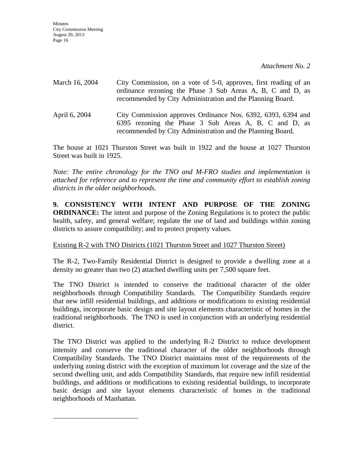| March 16, 2004 | City Commission, on a vote of 5-0, approves, first reading of an<br>ordinance rezoning the Phase 3 Sub Areas A, B, C and D, as<br>recommended by City Administration and the Planning Board. |
|----------------|----------------------------------------------------------------------------------------------------------------------------------------------------------------------------------------------|
| April 6, 2004  | City Commission approves Ordinance Nos. 6392, 6393, 6394 and<br>6395 rezoning the Phase 3 Sub Areas A, B, C and D, as<br>recommended by City Administration and the Planning Board.          |

The house at 1021 Thurston Street was built in 1922 and the house at 1027 Thurston Street was built in 1925.

*Note: The entire chronology for the TNO and M-FRO studies and implementation is attached for reference and to represent the time and community effort to establish zoning districts in the older neighborhoods.* 

**9. CONSISTENCY WITH INTENT AND PURPOSE OF THE ZONING ORDINANCE:** The intent and purpose of the Zoning Regulations is to protect the public health, safety, and general welfare; regulate the use of land and buildings within zoning districts to assure compatibility; and to protect property values.

## Existing R-2 with TNO Districts (1021 Thurston Street and 1027 Thurston Street)

The R-2, Two-Family Residential District is designed to provide a dwelling zone at a density no greater than two (2) attached dwelling units per 7,500 square feet.

The TNO District is intended to conserve the traditional character of the older neighborhoods through Compatibility Standards. The Compatibility Standards require that new infill residential buildings, and additions or modifications to existing residential buildings, incorporate basic design and site layout elements characteristic of homes in the traditional neighborhoods. The TNO is used in conjunction with an underlying residential district.

The TNO District was applied to the underlying R-2 District to reduce development intensity and conserve the traditional character of the older neighborhoods through Compatibility Standards. The TNO District maintains most of the requirements of the underlying zoning district with the exception of maximum lot coverage and the size of the second dwelling unit, and adds Compatibility Standards, that require new infill residential buildings, and additions or modifications to existing residential buildings, to incorporate basic design and site layout elements characteristic of homes in the traditional neighborhoods of Manhattan.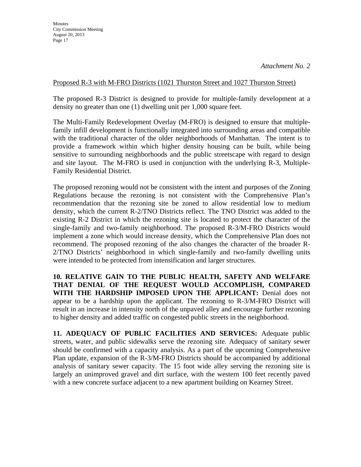### Proposed R-3 with M-FRO Districts (1021 Thurston Street and 1027 Thurston Street)

The proposed R-3 District is designed to provide for multiple-family development at a density no greater than one (1) dwelling unit per 1,000 square feet.

The Multi-Family Redevelopment Overlay (M-FRO) is designed to ensure that multiplefamily infill development is functionally integrated into surrounding areas and compatible with the traditional character of the older neighborhoods of Manhattan. The intent is to provide a framework within which higher density housing can be built, while being sensitive to surrounding neighborhoods and the public streetscape with regard to design and site layout. The M-FRO is used in conjunction with the underlying R-3, Multiple-Family Residential District.

The proposed rezoning would not be consistent with the intent and purposes of the Zoning Regulations because the rezoning is not consistent with the Comprehensive Plan's recommendation that the rezoning site be zoned to allow residential low to medium density, which the current R-2/TNO Districts reflect. The TNO District was added to the existing R-2 District in which the rezoning site is located to protect the character of the single-family and two-family neighborhood. The proposed R-3/M-FRO Districts would implement a zone which would increase density, which the Comprehensive Plan does not recommend. The proposed rezoning of the also changes the character of the broader R-2/TNO Districts' neighborhood in which single-family and two-family dwelling units were intended to be protected from intensification and larger structures.

 **10. RELATIVE GAIN TO THE PUBLIC HEALTH, SAFETY AND WELFARE THAT DENIAL OF THE REQUEST WOULD ACCOMPLISH, COMPARED WITH THE HARDSHIP IMPOSED UPON THE APPLICANT:** Denial does not appear to be a hardship upon the applicant. The rezoning to R-3/M-FRO District will result in an increase in intensity north of the unpaved alley and encourage further rezoning to higher density and added traffic on congested public streets in the neighborhood.

**11. ADEQUACY OF PUBLIC FACILITIES AND SERVICES:** Adequate public streets, water, and public sidewalks serve the rezoning site. Adequacy of sanitary sewer should be confirmed with a capacity analysis. As a part of the upcoming Comprehensive Plan update, expansion of the R-3/M-FRO Districts should be accompanied by additional analysis of sanitary sewer capacity. The 15 foot wide alley serving the rezoning site is largely an unimproved gravel and dirt surface, with the western 100 feet recently paved with a new concrete surface adjacent to a new apartment building on Kearney Street.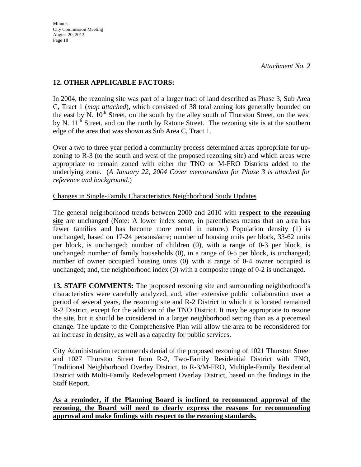## **12. OTHER APPLICABLE FACTORS:**

 In 2004, the rezoning site was part of a larger tract of land described as Phase 3, Sub Area C, Tract 1 (*map attached*), which consisted of 38 total zoning lots generally bounded on the east by N.  $10<sup>th</sup>$  Street, on the south by the alley south of Thurston Street, on the west by N.  $11<sup>th</sup>$  Street, and on the north by Ratone Street. The rezoning site is at the southern edge of the area that was shown as Sub Area C, Tract 1.

 Over a two to three year period a community process determined areas appropriate for upzoning to R-3 (to the south and west of the proposed rezoning site) and which areas were appropriate to remain zoned with either the TNO or M-FRO Districts added to the underlying zone. (*A January 22, 2004 Cover memorandum for Phase 3 is attached for reference and background*.)

## Changes in Single-Family Characteristics Neighborhood Study Updates

 The general neighborhood trends between 2000 and 2010 with **respect to the rezoning site** are unchanged (Note: A lower index score, in parentheses means that an area has fewer families and has become more rental in nature.) Population density (1) is unchanged, based on 17-24 persons/acre; number of housing units per block, 33-62 units per block, is unchanged; number of children (0), with a range of 0-3 per block, is unchanged; number of family households (0), in a range of 0-5 per block, is unchanged; number of owner occupied housing units (0) with a range of 0-4 owner occupied is unchanged; and, the neighborhood index (0) with a composite range of 0-2 is unchanged.

**13. STAFF COMMENTS:** The proposed rezoning site and surrounding neighborhood's characteristics were carefully analyzed, and, after extensive public collaboration over a period of several years, the rezoning site and R-2 District in which it is located remained R-2 District, except for the addition of the TNO District. It may be appropriate to rezone the site, but it should be considered in a larger neighborhood setting than as a piecemeal change. The update to the Comprehensive Plan will allow the area to be reconsidered for an increase in density, as well as a capacity for public services.

City Administration recommends denial of the proposed rezoning of 1021 Thurston Street and 1027 Thurston Street from R-2, Two-Family Residential District with TNO, Traditional Neighborhood Overlay District, to R-3/M-FRO, Multiple-Family Residential District with Multi-Family Redevelopment Overlay District, based on the findings in the Staff Report.

**As a reminder, if the Planning Board is inclined to recommend approval of the rezoning, the Board will need to clearly express the reasons for recommending approval and make findings with respect to the rezoning standards.**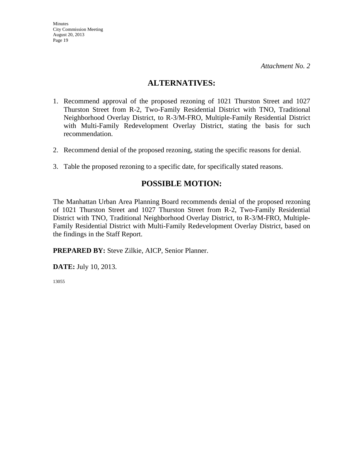## **ALTERNATIVES:**

- 1. Recommend approval of the proposed rezoning of 1021 Thurston Street and 1027 Thurston Street from R-2, Two-Family Residential District with TNO, Traditional Neighborhood Overlay District, to R-3/M-FRO, Multiple-Family Residential District with Multi-Family Redevelopment Overlay District, stating the basis for such recommendation.
- 2. Recommend denial of the proposed rezoning, stating the specific reasons for denial.
- 3. Table the proposed rezoning to a specific date, for specifically stated reasons.

## **POSSIBLE MOTION:**

The Manhattan Urban Area Planning Board recommends denial of the proposed rezoning of 1021 Thurston Street and 1027 Thurston Street from R-2, Two-Family Residential District with TNO, Traditional Neighborhood Overlay District, to R-3/M-FRO, Multiple-Family Residential District with Multi-Family Redevelopment Overlay District, based on the findings in the Staff Report.

**PREPARED BY:** Steve Zilkie, AICP, Senior Planner.

**DATE:** July 10, 2013.

13055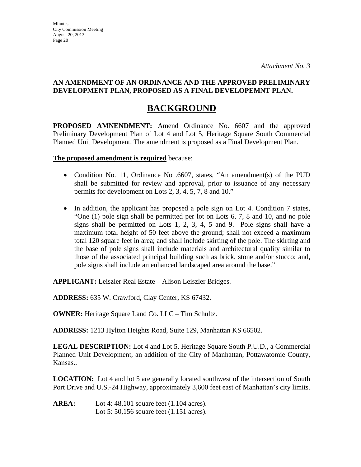## **BACKGROUND**

**PROPOSED AMNENDMENT:** Amend Ordinance No. 6607 and the approved Preliminary Development Plan of Lot 4 and Lot 5, Heritage Square South Commercial Planned Unit Development. The amendment is proposed as a Final Development Plan.

**The proposed amendment is required** because:

- Condition No. 11, Ordinance No .6607, states, "An amendment(s) of the PUD shall be submitted for review and approval, prior to issuance of any necessary permits for development on Lots 2, 3, 4, 5, 7, 8 and 10."
- In addition, the applicant has proposed a pole sign on Lot 4. Condition 7 states, "One (1) pole sign shall be permitted per lot on Lots 6, 7, 8 and 10, and no pole signs shall be permitted on Lots 1, 2, 3, 4, 5 and 9. Pole signs shall have a maximum total height of 50 feet above the ground; shall not exceed a maximum total 120 square feet in area; and shall include skirting of the pole. The skirting and the base of pole signs shall include materials and architectural quality similar to those of the associated principal building such as brick, stone and/or stucco; and, pole signs shall include an enhanced landscaped area around the base."

**APPLICANT:** Leiszler Real Estate – Alison Leiszler Bridges.

**ADDRESS:** 635 W. Crawford, Clay Center, KS 67432.

**OWNER:** Heritage Square Land Co. LLC – Tim Schultz.

**ADDRESS:** 1213 Hylton Heights Road, Suite 129, Manhattan KS 66502.

**LEGAL DESCRIPTION:** Lot 4 and Lot 5, Heritage Square South P.U.D., a Commercial Planned Unit Development, an addition of the City of Manhattan, Pottawatomie County, Kansas..

**LOCATION:** Lot 4 and lot 5 are generally located southwest of the intersection of South Port Drive and U.S.-24 Highway, approximately 3,600 feet east of Manhattan's city limits.

**AREA:** Lot 4: 48,101 square feet (1.104 acres). Lot 5: 50,156 square feet (1.151 acres).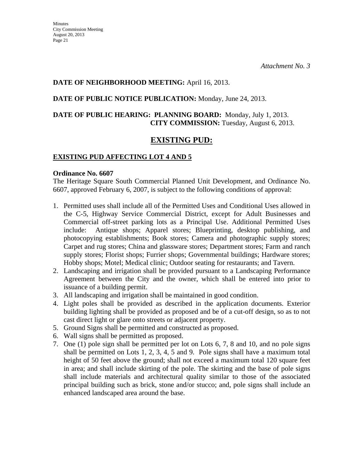## **DATE OF NEIGHBORHOOD MEETING:** April 16, 2013.

## **DATE OF PUBLIC NOTICE PUBLICATION:** Monday, June 24, 2013.

## **DATE OF PUBLIC HEARING: PLANNING BOARD:** Monday, July 1, 2013. **CITY COMMISSION:** Tuesday, August 6, 2013.

## **EXISTING PUD:**

## **EXISTING PUD AFFECTING LOT 4 AND 5**

#### **Ordinance No. 6607**

The Heritage Square South Commercial Planned Unit Development, and Ordinance No. 6607, approved February 6, 2007, is subject to the following conditions of approval:

- 1. Permitted uses shall include all of the Permitted Uses and Conditional Uses allowed in the C-5, Highway Service Commercial District, except for Adult Businesses and Commercial off-street parking lots as a Principal Use. Additional Permitted Uses include: Antique shops; Apparel stores; Blueprinting, desktop publishing, and photocopying establishments; Book stores; Camera and photographic supply stores; Carpet and rug stores; China and glassware stores; Department stores; Farm and ranch supply stores; Florist shops; Furrier shops; Governmental buildings; Hardware stores; Hobby shops; Motel; Medical clinic; Outdoor seating for restaurants; and Tavern.
- 2. Landscaping and irrigation shall be provided pursuant to a Landscaping Performance Agreement between the City and the owner, which shall be entered into prior to issuance of a building permit.
- 3. All landscaping and irrigation shall be maintained in good condition.
- 4. Light poles shall be provided as described in the application documents. Exterior building lighting shall be provided as proposed and be of a cut-off design, so as to not cast direct light or glare onto streets or adjacent property.
- 5. Ground Signs shall be permitted and constructed as proposed.
- 6. Wall signs shall be permitted as proposed.
- 7. One (1) pole sign shall be permitted per lot on Lots 6, 7, 8 and 10, and no pole signs shall be permitted on Lots 1, 2, 3, 4, 5 and 9. Pole signs shall have a maximum total height of 50 feet above the ground; shall not exceed a maximum total 120 square feet in area; and shall include skirting of the pole. The skirting and the base of pole signs shall include materials and architectural quality similar to those of the associated principal building such as brick, stone and/or stucco; and, pole signs shall include an enhanced landscaped area around the base.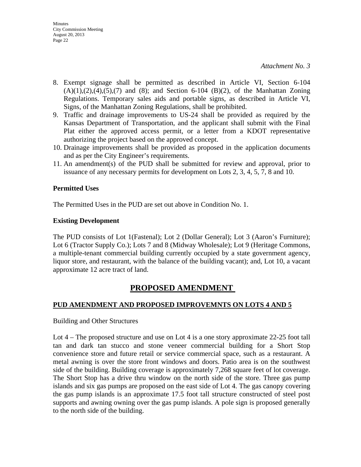- 8. Exempt signage shall be permitted as described in Article VI, Section 6-104  $(A)(1),(2),(4),(5),(7)$  and  $(8)$ ; and Section 6-104  $(B)(2)$ , of the Manhattan Zoning Regulations. Temporary sales aids and portable signs, as described in Article VI, Signs, of the Manhattan Zoning Regulations, shall be prohibited.
- 9. Traffic and drainage improvements to US-24 shall be provided as required by the Kansas Department of Transportation, and the applicant shall submit with the Final Plat either the approved access permit, or a letter from a KDOT representative authorizing the project based on the approved concept.
- 10. Drainage improvements shall be provided as proposed in the application documents and as per the City Engineer's requirements.
- 11. An amendment(s) of the PUD shall be submitted for review and approval, prior to issuance of any necessary permits for development on Lots 2, 3, 4, 5, 7, 8 and 10.

## **Permitted Uses**

The Permitted Uses in the PUD are set out above in Condition No. 1.

## **Existing Development**

The PUD consists of Lot 1(Fastenal); Lot 2 (Dollar General); Lot 3 (Aaron's Furniture); Lot 6 (Tractor Supply Co.); Lots 7 and 8 (Midway Wholesale); Lot 9 (Heritage Commons, a multiple-tenant commercial building currently occupied by a state government agency, liquor store, and restaurant, with the balance of the building vacant); and, Lot 10, a vacant approximate 12 acre tract of land.

## **PROPOSED AMENDMENT**

## **PUD AMENDMENT AND PROPOSED IMPROVEMNTS ON LOTS 4 AND 5**

Building and Other Structures

Lot 4 – The proposed structure and use on Lot 4 is a one story approximate 22-25 foot tall tan and dark tan stucco and stone veneer commercial building for a Short Stop convenience store and future retail or service commercial space, such as a restaurant. A metal awning is over the store front windows and doors. Patio area is on the southwest side of the building. Building coverage is approximately 7,268 square feet of lot coverage. The Short Stop has a drive thru window on the north side of the store. Three gas pump islands and six gas pumps are proposed on the east side of Lot 4. The gas canopy covering the gas pump islands is an approximate 17.5 foot tall structure constructed of steel post supports and awning owning over the gas pump islands. A pole sign is proposed generally to the north side of the building.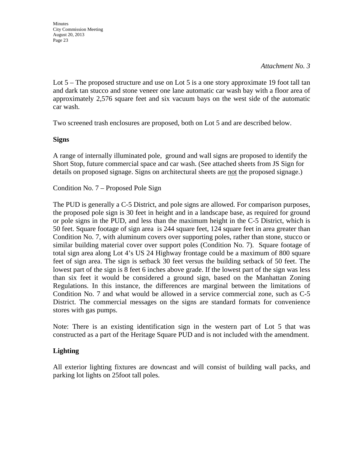Lot 5 – The proposed structure and use on Lot 5 is a one story approximate 19 foot tall tan and dark tan stucco and stone veneer one lane automatic car wash bay with a floor area of approximately 2,576 square feet and six vacuum bays on the west side of the automatic car wash.

Two screened trash enclosures are proposed, both on Lot 5 and are described below.

## **Signs**

A range of internally illuminated pole, ground and wall signs are proposed to identify the Short Stop, future commercial space and car wash. (See attached sheets from JS Sign for details on proposed signage. Signs on architectural sheets are not the proposed signage.)

Condition No. 7 – Proposed Pole Sign

The PUD is generally a C-5 District, and pole signs are allowed. For comparison purposes, the proposed pole sign is 30 feet in height and in a landscape base, as required for ground or pole signs in the PUD, and less than the maximum height in the C-5 District, which is 50 feet. Square footage of sign area is 244 square feet, 124 square feet in area greater than Condition No. 7, with aluminum covers over supporting poles, rather than stone, stucco or similar building material cover over support poles (Condition No. 7). Square footage of total sign area along Lot 4's US 24 Highway frontage could be a maximum of 800 square feet of sign area. The sign is setback 30 feet versus the building setback of 50 feet. The lowest part of the sign is 8 feet 6 inches above grade. If the lowest part of the sign was less than six feet it would be considered a ground sign, based on the Manhattan Zoning Regulations. In this instance, the differences are marginal between the limitations of Condition No. 7 and what would be allowed in a service commercial zone, such as C-5 District. The commercial messages on the signs are standard formats for convenience stores with gas pumps.

Note: There is an existing identification sign in the western part of Lot 5 that was constructed as a part of the Heritage Square PUD and is not included with the amendment.

## **Lighting**

All exterior lighting fixtures are downcast and will consist of building wall packs, and parking lot lights on 25foot tall poles.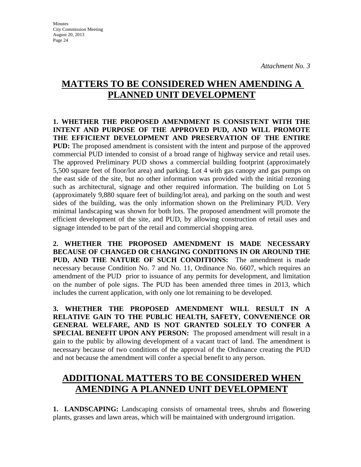Minutes City Commission Meeting August 20, 2013 Page 24

# **MATTERS TO BE CONSIDERED WHEN AMENDING A PLANNED UNIT DEVELOPMENT**

**1. WHETHER THE PROPOSED AMENDMENT IS CONSISTENT WITH THE INTENT AND PURPOSE OF THE APPROVED PUD, AND WILL PROMOTE THE EFFICIENT DEVELOPMENT AND PRESERVATION OF THE ENTIRE PUD:** The proposed amendment is consistent with the intent and purpose of the approved commercial PUD intended to consist of a broad range of highway service and retail uses. The approved Preliminary PUD shows a commercial building footprint (approximately 5,500 square feet of floor/lot area) and parking. Lot 4 with gas canopy and gas pumps on the east side of the site, but no other information was provided with the initial rezoning such as architectural, signage and other required information. The building on Lot 5 (approximately 9,880 square feet of building/lot area), and parking on the south and west sides of the building, was the only information shown on the Preliminary PUD. Very minimal landscaping was shown for both lots. The proposed amendment will promote the efficient development of the site, and PUD, by allowing construction of retail uses and signage intended to be part of the retail and commercial shopping area.

**2. WHETHER THE PROPOSED AMENDMENT IS MADE NECESSARY BECAUSE OF CHANGED OR CHANGING CONDITIONS IN OR AROUND THE PUD, AND THE NATURE OF SUCH CONDITIONS:** The amendment is made necessary because Condition No. 7 and No. 11, Ordinance No. 6607, which requires an amendment of the PUD prior to issuance of any permits for development, and limitation on the number of pole signs. The PUD has been amended three times in 2013, which includes the current application, with only one lot remaining to be developed.

**3. WHETHER THE PROPOSED AMENDMENT WILL RESULT IN A RELATIVE GAIN TO THE PUBLIC HEALTH, SAFETY, CONVENIENCE OR GENERAL WELFARE, AND IS NOT GRANTED SOLELY TO CONFER A SPECIAL BENEFIT UPON ANY PERSON:** The proposed amendment will result in a gain to the public by allowing development of a vacant tract of land. The amendment is necessary because of two conditions of the approval of the Ordinance creating the PUD and not because the amendment will confer a special benefit to any person.

# **ADDITIONAL MATTERS TO BE CONSIDERED WHEN AMENDING A PLANNED UNIT DEVELOPMENT**

**1. LANDSCAPING:** Landscaping consists of ornamental trees, shrubs and flowering plants, grasses and lawn areas, which will be maintained with underground irrigation.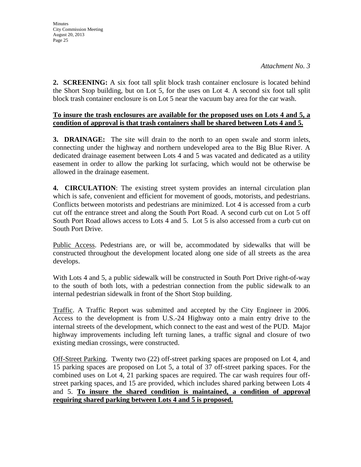**2. SCREENING:** A six foot tall split block trash container enclosure is located behind the Short Stop building, but on Lot 5, for the uses on Lot 4. A second six foot tall split block trash container enclosure is on Lot 5 near the vacuum bay area for the car wash.

## **To insure the trash enclosures are available for the proposed uses on Lots 4 and 5, a condition of approval is that trash containers shall be shared between Lots 4 and 5.**

**3. DRAINAGE:** The site will drain to the north to an open swale and storm inlets, connecting under the highway and northern undeveloped area to the Big Blue River. A dedicated drainage easement between Lots 4 and 5 was vacated and dedicated as a utility easement in order to allow the parking lot surfacing, which would not be otherwise be allowed in the drainage easement.

**4. CIRCULATION**: The existing street system provides an internal circulation plan which is safe, convenient and efficient for movement of goods, motorists, and pedestrians. Conflicts between motorists and pedestrians are minimized. Lot 4 is accessed from a curb cut off the entrance street and along the South Port Road. A second curb cut on Lot 5 off South Port Road allows access to Lots 4 and 5. Lot 5 is also accessed from a curb cut on South Port Drive.

Public Access. Pedestrians are, or will be, accommodated by sidewalks that will be constructed throughout the development located along one side of all streets as the area develops.

With Lots 4 and 5, a public sidewalk will be constructed in South Port Drive right-of-way to the south of both lots, with a pedestrian connection from the public sidewalk to an internal pedestrian sidewalk in front of the Short Stop building.

Traffic. A Traffic Report was submitted and accepted by the City Engineer in 2006. Access to the development is from U.S.-24 Highway onto a main entry drive to the internal streets of the development, which connect to the east and west of the PUD. Major highway improvements including left turning lanes, a traffic signal and closure of two existing median crossings, were constructed.

Off-Street Parking. Twenty two (22) off-street parking spaces are proposed on Lot 4, and 15 parking spaces are proposed on Lot 5, a total of 37 off-street parking spaces. For the combined uses on Lot 4, 21 parking spaces are required. The car wash requires four offstreet parking spaces, and 15 are provided, which includes shared parking between Lots 4 and 5. **To insure the shared condition is maintained, a condition of approval requiring shared parking between Lots 4 and 5 is proposed.**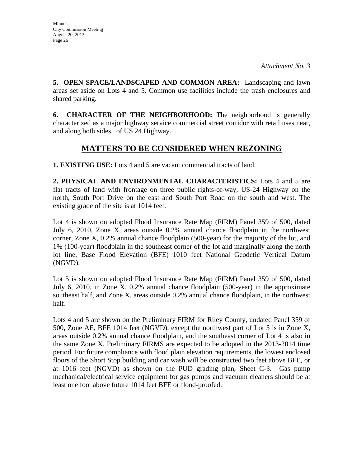**5. OPEN SPACE/LANDSCAPED AND COMMON AREA:** Landscaping and lawn areas set aside on Lots 4 and 5. Common use facilities include the trash enclosures and shared parking.

**6. CHARACTER OF THE NEIGHBORHOOD:** The neighborhood is generally characterized as a major highway service commercial street corridor with retail uses near, and along both sides, of US 24 Highway.

## **MATTERS TO BE CONSIDERED WHEN REZONING**

**1. EXISTING USE:** Lots 4 and 5 are vacant commercial tracts of land.

**2. PHYSICAL AND ENVIRONMENTAL CHARACTERISTICS:** Lots 4 and 5 are flat tracts of land with frontage on three public rights-of-way, US-24 Highway on the north, South Port Drive on the east and South Port Road on the south and west. The existing grade of the site is at 1014 feet.

Lot 4 is shown on adopted Flood Insurance Rate Map (FIRM) Panel 359 of 500, dated July 6, 2010, Zone X, areas outside 0.2% annual chance floodplain in the northwest corner, Zone X, 0.2% annual chance floodplain (500-year) for the majority of the lot, and 1% (100-year) floodplain in the southeast corner of the lot and marginally along the north lot line, Base Flood Elevation (BFE) 1010 feet National Geodetic Vertical Datum (NGVD).

Lot 5 is shown on adopted Flood Insurance Rate Map (FIRM) Panel 359 of 500, dated July 6, 2010, in Zone X, 0.2% annual chance floodplain (500-year) in the approximate southeast half, and Zone X, areas outside 0.2% annual chance floodplain, in the northwest half.

Lots 4 and 5 are shown on the Preliminary FIRM for Riley County, undated Panel 359 of 500, Zone AE, BFE 1014 feet (NGVD), except the northwest part of Lot 5 is in Zone X, areas outside 0.2% annual chance floodplain, and the southeast corner of Lot 4 is also in the same Zone X. Preliminary FIRMS are expected to be adopted in the 2013-2014 time period. For future compliance with flood plain elevation requirements, the lowest enclosed floors of the Short Stop building and car wash will be constructed two feet above BFE, or at 1016 feet (NGVD) as shown on the PUD grading plan, Sheet C-3. Gas pump mechanical/electrical service equipment for gas pumps and vacuum cleaners should be at least one foot above future 1014 feet BFE or flood-proofed.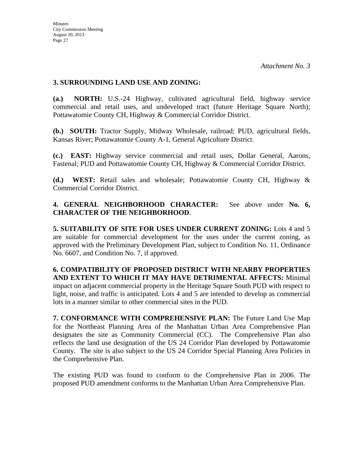### **3. SURROUNDING LAND USE AND ZONING:**

**(a.) NORTH:** U.S.-24 Highway, cultivated agricultural field, highway service commercial and retail uses, and undeveloped tract (future Heritage Square North); Pottawatomie County CH, Highway & Commercial Corridor District.

**(b.) SOUTH:** Tractor Supply, Midway Wholesale, railroad; PUD, agricultural fields, Kansas River; Pottawatomie County A-1, General Agriculture District.

**(c.) EAST:** Highway service commercial and retail uses, Dollar General, Aarons, Fastenal; PUD and Pottawatomie County CH, Highway & Commercial Corridor District.

**(d.) WEST:** Retail sales and wholesale; Pottawatomie County CH, Highway & Commercial Corridor District.

**4. GENERAL NEIGHBORHOOD CHARACTER:** See above under **No. 6, CHARACTER OF THE NEIGHBORHOOD**.

**5. SUITABILITY OF SITE FOR USES UNDER CURRENT ZONING:** Lots 4 and 5 are suitable for commercial development for the uses under the current zoning, as approved with the Preliminary Development Plan, subject to Condition No. 11, Ordinance No. 6607, and Condition No. 7, if approved.

**6. COMPATIBILITY OF PROPOSED DISTRICT WITH NEARBY PROPERTIES AND EXTENT TO WHICH IT MAY HAVE DETRIMENTAL AFFECTS:** Minimal impact on adjacent commercial property in the Heritage Square South PUD with respect to light, noise, and traffic is anticipated. Lots 4 and 5 are intended to develop as commercial lots in a manner similar to other commercial sites in the PUD.

**7. CONFORMANCE WITH COMPREHENSIVE PLAN:** The Future Land Use Map for the Northeast Planning Area of the Manhattan Urban Area Comprehensive Plan designates the site as Community Commercial (CC). The Comprehensive Plan also reflects the land use designation of the US 24 Corridor Plan developed by Pottawatomie County. The site is also subject to the US 24 Corridor Special Planning Area Policies in the Comprehensive Plan.

The existing PUD was found to conform to the Comprehensive Plan in 2006. The proposed PUD amendment conforms to the Manhattan Urban Area Comprehensive Plan.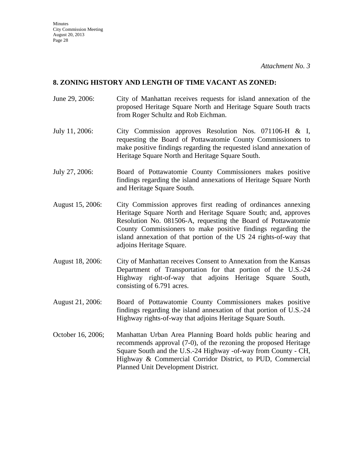#### **8. ZONING HISTORY AND LENGTH OF TIME VACANT AS ZONED:**

- June 29, 2006: City of Manhattan receives requests for island annexation of the proposed Heritage Square North and Heritage Square South tracts from Roger Schultz and Rob Eichman.
- July 11, 2006: City Commission approves Resolution Nos. 071106-H & I, requesting the Board of Pottawatomie County Commissioners to make positive findings regarding the requested island annexation of Heritage Square North and Heritage Square South.
- July 27, 2006: Board of Pottawatomie County Commissioners makes positive findings regarding the island annexations of Heritage Square North and Heritage Square South.
- August 15, 2006: City Commission approves first reading of ordinances annexing Heritage Square North and Heritage Square South; and, approves Resolution No. 081506-A, requesting the Board of Pottawatomie County Commissioners to make positive findings regarding the island annexation of that portion of the US 24 rights-of-way that adjoins Heritage Square.
- August 18, 2006: City of Manhattan receives Consent to Annexation from the Kansas Department of Transportation for that portion of the U.S.-24 Highway right-of-way that adjoins Heritage Square South, consisting of 6.791 acres.
- August 21, 2006: Board of Pottawatomie County Commissioners makes positive findings regarding the island annexation of that portion of U.S.-24 Highway rights-of-way that adjoins Heritage Square South.
- October 16, 2006; Manhattan Urban Area Planning Board holds public hearing and recommends approval (7-0), of the rezoning the proposed Heritage Square South and the U.S.-24 Highway -of-way from County - CH, Highway & Commercial Corridor District, to PUD, Commercial Planned Unit Development District.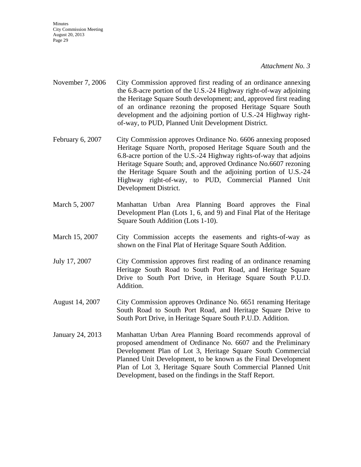**Minutes** City Commission Meeting August 20, 2013 Page 29

#### *Attachment No. 3*

- November 7, 2006 City Commission approved first reading of an ordinance annexing the 6.8-acre portion of the U.S.-24 Highway right-of-way adjoining the Heritage Square South development; and, approved first reading of an ordinance rezoning the proposed Heritage Square South development and the adjoining portion of U.S.-24 Highway rightof-way, to PUD, Planned Unit Development District.
- February 6, 2007 City Commission approves Ordinance No. 6606 annexing proposed Heritage Square North, proposed Heritage Square South and the 6.8-acre portion of the U.S.-24 Highway rights-of-way that adjoins Heritage Square South; and, approved Ordinance No.6607 rezoning the Heritage Square South and the adjoining portion of U.S.-24 Highway right-of-way, to PUD, Commercial Planned Unit Development District.
- March 5, 2007 Manhattan Urban Area Planning Board approves the Final Development Plan (Lots 1, 6, and 9) and Final Plat of the Heritage Square South Addition (Lots 1-10).
- March 15, 2007 City Commission accepts the easements and rights-of-way as shown on the Final Plat of Heritage Square South Addition.
- July 17, 2007 City Commission approves first reading of an ordinance renaming Heritage South Road to South Port Road, and Heritage Square Drive to South Port Drive, in Heritage Square South P.U.D. Addition.
- August 14, 2007 City Commission approves Ordinance No. 6651 renaming Heritage South Road to South Port Road, and Heritage Square Drive to South Port Drive, in Heritage Square South P.U.D. Addition.
- January 24, 2013 Manhattan Urban Area Planning Board recommends approval of proposed amendment of Ordinance No. 6607 and the Preliminary Development Plan of Lot 3, Heritage Square South Commercial Planned Unit Development, to be known as the Final Development Plan of Lot 3, Heritage Square South Commercial Planned Unit Development, based on the findings in the Staff Report.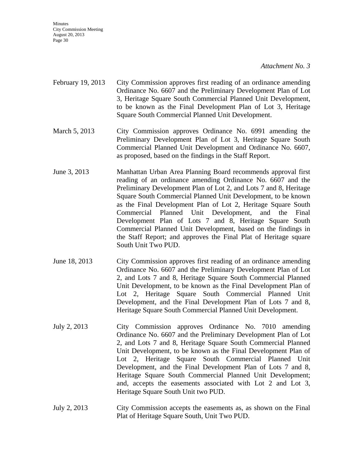**Minutes** City Commission Meeting August 20, 2013 Page 30

#### *Attachment No. 3*

- February 19, 2013 City Commission approves first reading of an ordinance amending Ordinance No. 6607 and the Preliminary Development Plan of Lot 3, Heritage Square South Commercial Planned Unit Development, to be known as the Final Development Plan of Lot 3, Heritage Square South Commercial Planned Unit Development.
- March 5, 2013 City Commission approves Ordinance No. 6991 amending the Preliminary Development Plan of Lot 3, Heritage Square South Commercial Planned Unit Development and Ordinance No. 6607, as proposed, based on the findings in the Staff Report.
- June 3, 2013 Manhattan Urban Area Planning Board recommends approval first reading of an ordinance amending Ordinance No. 6607 and the Preliminary Development Plan of Lot 2, and Lots 7 and 8, Heritage Square South Commercial Planned Unit Development, to be known as the Final Development Plan of Lot 2, Heritage Square South Commercial Planned Unit Development, and the Final Development Plan of Lots 7 and 8, Heritage Square South Commercial Planned Unit Development, based on the findings in the Staff Report; and approves the Final Plat of Heritage square South Unit Two PUD.
- June 18, 2013 City Commission approves first reading of an ordinance amending Ordinance No. 6607 and the Preliminary Development Plan of Lot 2, and Lots 7 and 8, Heritage Square South Commercial Planned Unit Development, to be known as the Final Development Plan of Lot 2, Heritage Square South Commercial Planned Unit Development, and the Final Development Plan of Lots 7 and 8, Heritage Square South Commercial Planned Unit Development.
- July 2, 2013 City Commission approves Ordinance No. 7010 amending Ordinance No. 6607 and the Preliminary Development Plan of Lot 2, and Lots 7 and 8, Heritage Square South Commercial Planned Unit Development, to be known as the Final Development Plan of Lot 2, Heritage Square South Commercial Planned Unit Development, and the Final Development Plan of Lots 7 and 8, Heritage Square South Commercial Planned Unit Development; and, accepts the easements associated with Lot 2 and Lot 3, Heritage Square South Unit two PUD.
- July 2, 2013 City Commission accepts the easements as, as shown on the Final Plat of Heritage Square South, Unit Two PUD.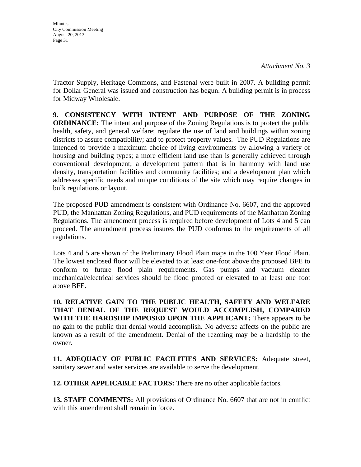Tractor Supply, Heritage Commons, and Fastenal were built in 2007. A building permit for Dollar General was issued and construction has begun. A building permit is in process for Midway Wholesale.

**9. CONSISTENCY WITH INTENT AND PURPOSE OF THE ZONING ORDINANCE:** The intent and purpose of the Zoning Regulations is to protect the public health, safety, and general welfare; regulate the use of land and buildings within zoning districts to assure compatibility; and to protect property values. The PUD Regulations are intended to provide a maximum choice of living environments by allowing a variety of housing and building types; a more efficient land use than is generally achieved through conventional development; a development pattern that is in harmony with land use density, transportation facilities and community facilities; and a development plan which addresses specific needs and unique conditions of the site which may require changes in bulk regulations or layout.

The proposed PUD amendment is consistent with Ordinance No. 6607, and the approved PUD, the Manhattan Zoning Regulations, and PUD requirements of the Manhattan Zoning Regulations. The amendment process is required before development of Lots 4 and 5 can proceed. The amendment process insures the PUD conforms to the requirements of all regulations.

Lots 4 and 5 are shown of the Preliminary Flood Plain maps in the 100 Year Flood Plain. The lowest enclosed floor will be elevated to at least one-foot above the proposed BFE to conform to future flood plain requirements. Gas pumps and vacuum cleaner mechanical/electrical services should be flood proofed or elevated to at least one foot above BFE.

**10. RELATIVE GAIN TO THE PUBLIC HEALTH, SAFETY AND WELFARE THAT DENIAL OF THE REQUEST WOULD ACCOMPLISH, COMPARED WITH THE HARDSHIP IMPOSED UPON THE APPLICANT:** There appears to be no gain to the public that denial would accomplish. No adverse affects on the public are known as a result of the amendment. Denial of the rezoning may be a hardship to the owner.

**11. ADEQUACY OF PUBLIC FACILITIES AND SERVICES:** Adequate street, sanitary sewer and water services are available to serve the development.

**12. OTHER APPLICABLE FACTORS:** There are no other applicable factors.

**13. STAFF COMMENTS:** All provisions of Ordinance No. 6607 that are not in conflict with this amendment shall remain in force.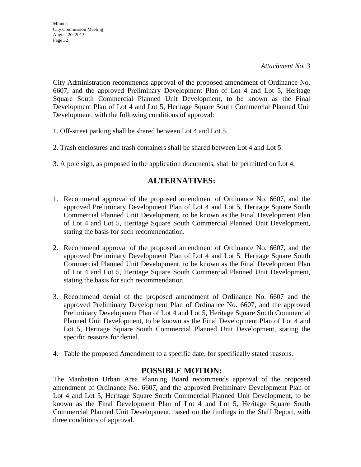City Administration recommends approval of the proposed amendment of Ordinance No. 6607, and the approved Preliminary Development Plan of Lot 4 and Lot 5, Heritage Square South Commercial Planned Unit Development, to be known as the Final Development Plan of Lot 4 and Lot 5, Heritage Square South Commercial Planned Unit Development, with the following conditions of approval:

- 1. Off-street parking shall be shared between Lot 4 and Lot 5.
- 2. Trash enclosures and trash containers shall be shared between Lot 4 and Lot 5.
- 3. A pole sign, as proposed in the application documents, shall be permitted on Lot 4.

## **ALTERNATIVES:**

- 1. Recommend approval of the proposed amendment of Ordinance No. 6607, and the approved Preliminary Development Plan of Lot 4 and Lot 5, Heritage Square South Commercial Planned Unit Development, to be known as the Final Development Plan of Lot 4 and Lot 5, Heritage Square South Commercial Planned Unit Development, stating the basis for such recommendation.
- 2. Recommend approval of the proposed amendment of Ordinance No. 6607, and the approved Preliminary Development Plan of Lot 4 and Lot 5, Heritage Square South Commercial Planned Unit Development, to be known as the Final Development Plan of Lot 4 and Lot 5, Heritage Square South Commercial Planned Unit Development, stating the basis for such recommendation.
- 3. Recommend denial of the proposed amendment of Ordinance No. 6607 and the approved Preliminary Development Plan of Ordinance No. 6607, and the approved Preliminary Development Plan of Lot 4 and Lot 5, Heritage Square South Commercial Planned Unit Development, to be known as the Final Development Plan of Lot 4 and Lot 5, Heritage Square South Commercial Planned Unit Development, stating the specific reasons for denial.
- 4. Table the proposed Amendment to a specific date, for specifically stated reasons.

## **POSSIBLE MOTION:**

The Manhattan Urban Area Planning Board recommends approval of the proposed amendment of Ordinance No. 6607, and the approved Preliminary Development Plan of Lot 4 and Lot 5, Heritage Square South Commercial Planned Unit Development, to be known as the Final Development Plan of Lot 4 and Lot 5, Heritage Square South Commercial Planned Unit Development, based on the findings in the Staff Report, with three conditions of approval.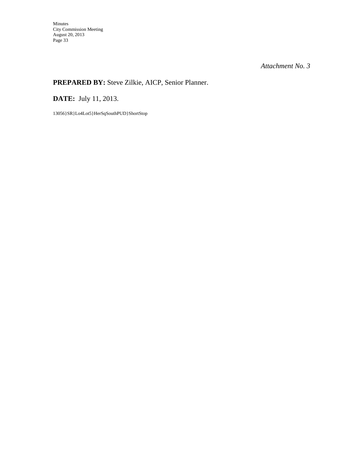## **PREPARED BY:** Steve Zilkie, AICP, Senior Planner.

**DATE:** July 11, 2013.

13056}SR}Lo4Lot5}HerSqSouthPUD}ShortStop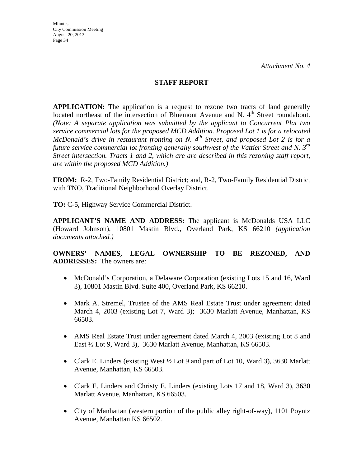### **STAFF REPORT**

**APPLICATION:** The application is a request to rezone two tracts of land generally located northeast of the intersection of Bluemont Avenue and N. 4<sup>th</sup> Street roundabout. *(Note: A separate application was submitted by the applicant to Concurrent Plat two service commercial lots for the proposed MCD Addition. Proposed Lot 1 is for a relocated McDonald's drive in restaurant fronting on N. 4<sup>th</sup> Street, and proposed Lot 2 is for a future service commercial lot fronting generally southwest of the Vattier Street and N. 3rd Street intersection. Tracts 1 and 2, which are are described in this rezoning staff report, are within the proposed MCD Addition.)* 

**FROM:** R-2, Two-Family Residential District; and, R-2, Two-Family Residential District with TNO, Traditional Neighborhood Overlay District.

**TO:** C-5, Highway Service Commercial District.

**APPLICANT'S NAME AND ADDRESS:** The applicant is McDonalds USA LLC (Howard Johnson), 10801 Mastin Blvd., Overland Park, KS 66210 *(application documents attached.)*

**OWNERS' NAMES, LEGAL OWNERSHIP TO BE REZONED, AND ADDRESSES:** The owners are:

- McDonald's Corporation, a Delaware Corporation (existing Lots 15 and 16, Ward 3), 10801 Mastin Blvd. Suite 400, Overland Park, KS 66210.
- Mark A. Stremel, Trustee of the AMS Real Estate Trust under agreement dated March 4, 2003 (existing Lot 7, Ward 3); 3630 Marlatt Avenue, Manhattan, KS 66503.
- AMS Real Estate Trust under agreement dated March 4, 2003 (existing Lot 8 and East ½ Lot 9, Ward 3), 3630 Marlatt Avenue, Manhattan, KS 66503.
- Clark E. Linders (existing West  $\frac{1}{2}$  Lot 9 and part of Lot 10, Ward 3), 3630 Marlatt Avenue, Manhattan, KS 66503.
- Clark E. Linders and Christy E. Linders (existing Lots 17 and 18, Ward 3), 3630 Marlatt Avenue, Manhattan, KS 66503.
- City of Manhattan (western portion of the public alley right-of-way), 1101 Poyntz Avenue, Manhattan KS 66502.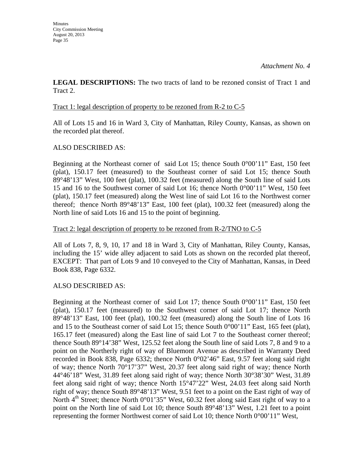**LEGAL DESCRIPTIONS:** The two tracts of land to be rezoned consist of Tract 1 and Tract 2.

#### Tract 1: legal description of property to be rezoned from R-2 to C-5

All of Lots 15 and 16 in Ward 3, City of Manhattan, Riley County, Kansas, as shown on the recorded plat thereof.

### ALSO DESCRIBED AS:

Beginning at the Northeast corner of said Lot 15; thence South 0°00'11" East, 150 feet (plat), 150.17 feet (measured) to the Southeast corner of said Lot 15; thence South 89°48'13" West, 100 feet (plat), 100.32 feet (measured) along the South line of said Lots 15 and 16 to the Southwest corner of said Lot 16; thence North 0°00'11" West, 150 feet (plat), 150.17 feet (measured) along the West line of said Lot 16 to the Northwest corner thereof; thence North 89°48'13" East, 100 feet (plat), 100.32 feet (measured) along the North line of said Lots 16 and 15 to the point of beginning.

#### Tract 2: legal description of property to be rezoned from R-2/TNO to C-5

All of Lots 7, 8, 9, 10, 17 and 18 in Ward 3, City of Manhattan, Riley County, Kansas, including the 15' wide alley adjacent to said Lots as shown on the recorded plat thereof, EXCEPT: That part of Lots 9 and 10 conveyed to the City of Manhattan, Kansas, in Deed Book 838, Page 6332.

#### ALSO DESCRIBED AS:

Beginning at the Northeast corner of said Lot 17; thence South  $0^{\circ}00'11''$  East, 150 feet (plat), 150.17 feet (measured) to the Southwest corner of said Lot 17; thence North 89°48'13" East, 100 feet (plat), 100.32 feet (measured) along the South line of Lots 16 and 15 to the Southeast corner of said Lot 15; thence South  $0^{\circ}00'11''$  East, 165 feet (plat), 165.17 feet (measured) along the East line of said Lot 7 to the Southeast corner thereof; thence South 89°14'38" West, 125.52 feet along the South line of said Lots 7, 8 and 9 to a point on the Northerly right of way of Bluemont Avenue as described in Warranty Deed recorded in Book 838, Page 6332; thence North 0°02'46" East, 9.57 feet along said right of way; thence North 70°17'37" West, 20.37 feet along said right of way; thence North 44°46'18" West, 31.89 feet along said right of way; thence North 30°38'30" West, 31.89 feet along said right of way; thence North 15°47'22" West, 24.03 feet along said North right of way; thence South 89°48'13" West, 9.51 feet to a point on the East right of way of North  $4<sup>th</sup>$  Street; thence North 0°01'35" West, 60.32 feet along said East right of way to a point on the North line of said Lot 10; thence South 89°48'13" West, 1.21 feet to a point representing the former Northwest corner of said Lot 10; thence North 0°00'11" West,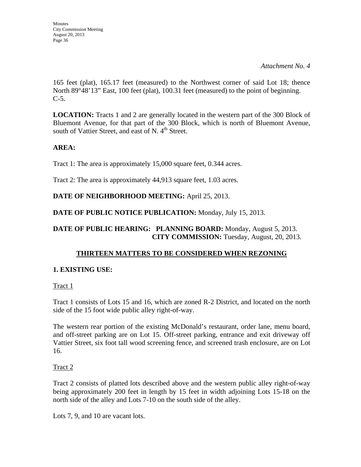165 feet (plat), 165.17 feet (measured) to the Northwest corner of said Lot 18; thence North 89°48'13" East, 100 feet (plat), 100.31 feet (measured) to the point of beginning.  $C-5$ .

**LOCATION:** Tracts 1 and 2 are generally located in the western part of the 300 Block of Bluemont Avenue, for that part of the 300 Block, which is north of Bluemont Avenue, south of Vattier Street, and east of N.  $4<sup>th</sup>$  Street.

## **AREA:**

Tract 1: The area is approximately 15,000 square feet, 0.344 acres.

Tract 2: The area is approximately 44,913 square feet, 1.03 acres.

## **DATE OF NEIGHBORHOOD MEETING:** April 25, 2013.

**DATE OF PUBLIC NOTICE PUBLICATION:** Monday, July 15, 2013.

## **DATE OF PUBLIC HEARING: PLANNING BOARD:** Monday, August 5, 2013. **CITY COMMISSION:** Tuesday, August, 20, 2013.

## **THIRTEEN MATTERS TO BE CONSIDERED WHEN REZONING**

## **1. EXISTING USE:**

Tract 1

Tract 1 consists of Lots 15 and 16, which are zoned R-2 District, and located on the north side of the 15 foot wide public alley right-of-way.

The western rear portion of the existing McDonald's restaurant, order lane, menu board, and off-street parking are on Lot 15. Off-street parking, entrance and exit driveway off Vattier Street, six foot tall wood screening fence, and screened trash enclosure, are on Lot 16.

## Tract 2

Tract 2 consists of platted lots described above and the western public alley right-of-way being approximately 200 feet in length by 15 feet in width adjoining Lots 15-18 on the north side of the alley and Lots 7-10 on the south side of the alley.

Lots 7, 9, and 10 are vacant lots.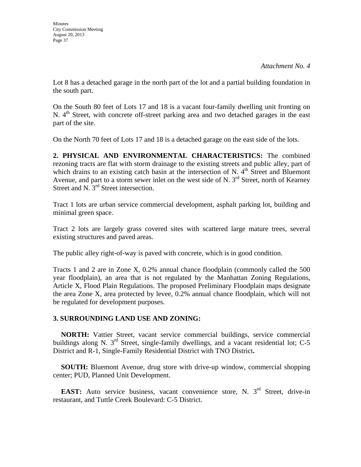Lot 8 has a detached garage in the north part of the lot and a partial building foundation in the south part.

On the South 80 feet of Lots 17 and 18 is a vacant four-family dwelling unit fronting on N.  $4<sup>th</sup>$  Street, with concrete off-street parking area and two detached garages in the east part of the site.

On the North 70 feet of Lots 17 and 18 is a detached garage on the east side of the lots.

**2. PHYSICAL AND ENVIRONMENTAL CHARACTERISTICS:** The combined rezoning tracts are flat with storm drainage to the existing streets and public alley, part of which drains to an existing catch basin at the intersection of N.  $4<sup>th</sup>$  Street and Bluemont Avenue, and part to a storm sewer inlet on the west side of N.  $3<sup>rd</sup>$  Street, north of Kearney Street and N. 3<sup>rd</sup> Street intersection.

Tract 1 lots are urban service commercial development, asphalt parking lot, building and minimal green space.

Tract 2 lots are largely grass covered sites with scattered large mature trees, several existing structures and paved areas.

The public alley right-of-way is paved with concrete, which is in good condition.

Tracts 1 and 2 are in Zone X, 0.2% annual chance floodplain (commonly called the 500 year floodplain), an area that is not regulated by the Manhattan Zoning Regulations, Article X, Flood Plain Regulations. The proposed Preliminary Floodplain maps designate the area Zone X, area protected by levee, 0.2% annual chance floodplain, which will not be regulated for development purposes.

## **3. SURROUNDING LAND USE AND ZONING:**

 **NORTH:** Vattier Street, vacant service commercial buildings, service commercial buildings along N. 3<sup>rd</sup> Street, single-family dwellings, and a vacant residential lot; C-5 District and R-1, Single-Family Residential District with TNO District**.**

**SOUTH:** Bluemont Avenue, drug store with drive-up window, commercial shopping center; PUD, Planned Unit Development.

**EAST:** Auto service business, vacant convenience store, N. 3<sup>rd</sup> Street, drive-in restaurant, and Tuttle Creek Boulevard: C-5 District.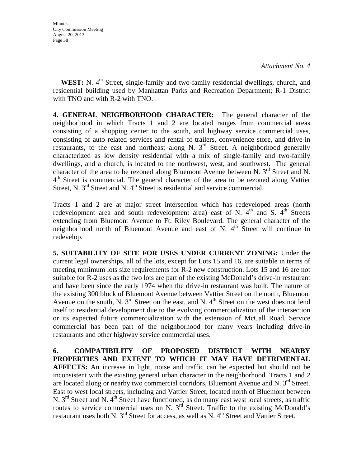**WEST:** N. 4<sup>th</sup> Street, single-family and two-family residential dwellings, church, and residential building used by Manhattan Parks and Recreation Department; R-1 District with TNO and with R-2 with TNO.

**4. GENERAL NEIGHBORHOOD CHARACTER:** The general character of the neighborhood in which Tracts 1 and 2 are located ranges from commercial areas consisting of a shopping center to the south, and highway service commercial uses, consisting of auto related services and rental of trailers, convenience store, and drive-in restaurants, to the east and northeast along N.  $3<sup>rd</sup>$  Street. A neighborhood generally characterized as low density residential with a mix of single-family and two-family dwellings, and a church, is located to the northwest, west, and southwest. The general character of the area to be rezoned along Bluemont Avenue between N.  $3<sup>rd</sup>$  Street and N.  $4<sup>th</sup>$  Street is commercial. The general character of the area to be rezoned along Vattier Street, N.  $3<sup>rd</sup>$  Street and N.  $4<sup>th</sup>$  Street is residential and service commercial.

Tracts 1 and 2 are at major street intersection which has redeveloped areas (north redevelopment area and south redevelopment area) east of N.  $4<sup>th</sup>$  and S.  $4<sup>th</sup>$  Streets extending from Bluemont Avenue to Ft. Riley Boulevard. The general character of the neighborhood north of Bluemont Avenue and east of N.  $4<sup>th</sup>$  Street will continue to redevelop.

**5. SUITABILITY OF SITE FOR USES UNDER CURRENT ZONING:** Under the current legal ownerships, all of the lots, except for Lots 15 and 16, are suitable in terms of meeting minimum lots size requirements for R-2 new construction. Lots 15 and 16 are not suitable for R-2 uses as the two lots are part of the existing McDonald's drive-in restaurant and have been since the early 1974 when the drive-in restaurant was built. The nature of the existing 300 block of Bluemont Avenue between Vattier Street on the north, Bluemont Avenue on the south, N.  $3^{rd}$  Street on the east, and N.  $4^{th}$  Street on the west does not lend itself to residential development due to the evolving commercialization of the intersection or its expected future commercialization with the extension of McCall Road. Service commercial has been part of the neighborhood for many years including drive-in restaurants and other highway service commercial uses.

**6. COMPATIBILITY OF PROPOSED DISTRICT WITH NEARBY PROPERTIES AND EXTENT TO WHICH IT MAY HAVE DETRIMENTAL AFFECTS:** An increase in light, noise and traffic can be expected but should not be inconsistent with the existing general urban character in the neighborhood. Tracts 1 and 2 are located along or nearby two commercial corridors, Bluemont Avenue and N.  $3<sup>rd</sup>$  Street. East to west local streets, including and Vattier Street, located north of Bluemont between N.  $3<sup>rd</sup>$  Street and N. 4<sup>th</sup> Street have functioned, as do many east west local streets, as traffic routes to service commercial uses on N.  $3<sup>rd</sup>$  Street. Traffic to the existing McDonald's restaurant uses both N.  $3<sup>rd</sup>$  Street for access, as well as N.  $4<sup>th</sup>$  Street and Vattier Street.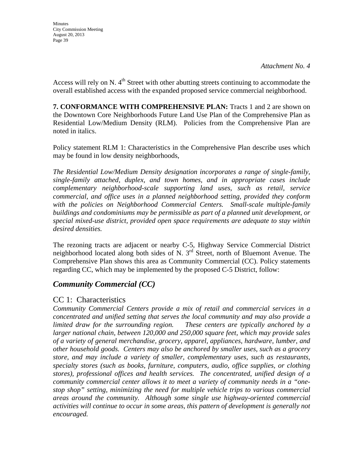Access will rely on N.  $4<sup>th</sup>$  Street with other abutting streets continuing to accommodate the overall established access with the expanded proposed service commercial neighborhood.

**7. CONFORMANCE WITH COMPREHENSIVE PLAN:** Tracts 1 and 2 are shown on the Downtown Core Neighborhoods Future Land Use Plan of the Comprehensive Plan as Residential Low/Medium Density (RLM). Policies from the Comprehensive Plan are noted in italics.

Policy statement RLM 1: Characteristics in the Comprehensive Plan describe uses which may be found in low density neighborhoods,

*The Residential Low/Medium Density designation incorporates a range of single-family, single-family attached, duplex, and town homes, and in appropriate cases include complementary neighborhood-scale supporting land uses, such as retail, service commercial, and office uses in a planned neighborhood setting, provided they conform with the policies on Neighborhood Commercial Centers. Small-scale multiple-family buildings and condominiums may be permissible as part of a planned unit development, or special mixed-use district, provided open space requirements are adequate to stay within desired densities.* 

The rezoning tracts are adjacent or nearby C-5, Highway Service Commercial District neighborhood located along both sides of N. 3<sup>rd</sup> Street, north of Bluemont Avenue. The Comprehensive Plan shows this area as Community Commercial (CC). Policy statements regarding CC, which may be implemented by the proposed C-5 District, follow:

## *Community Commercial (CC)*

## CC 1: Characteristics

*Community Commercial Centers provide a mix of retail and commercial services in a concentrated and unified setting that serves the local community and may also provide a limited draw for the surrounding region. These centers are typically anchored by a larger national chain, between 120,000 and 250,000 square feet, which may provide sales of a variety of general merchandise, grocery, apparel, appliances, hardware, lumber, and other household goods. Centers may also be anchored by smaller uses, such as a grocery store, and may include a variety of smaller, complementary uses, such as restaurants, specialty stores (such as books, furniture, computers, audio, office supplies, or clothing stores), professional offices and health services. The concentrated, unified design of a community commercial center allows it to meet a variety of community needs in a "onestop shop" setting, minimizing the need for multiple vehicle trips to various commercial areas around the community. Although some single use highway-oriented commercial activities will continue to occur in some areas, this pattern of development is generally not encouraged.*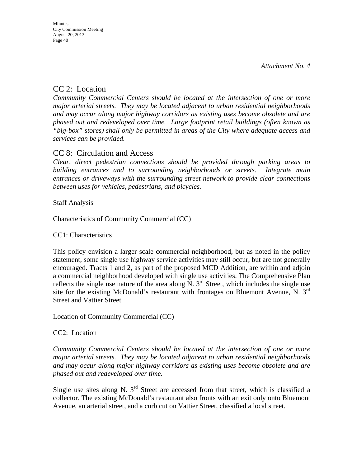## CC 2: Location

*Community Commercial Centers should be located at the intersection of one or more major arterial streets. They may be located adjacent to urban residential neighborhoods and may occur along major highway corridors as existing uses become obsolete and are phased out and redeveloped over time. Large footprint retail buildings (often known as "big-box" stores) shall only be permitted in areas of the City where adequate access and services can be provided.* 

## CC 8: Circulation and Access

*Clear, direct pedestrian connections should be provided through parking areas to building entrances and to surrounding neighborhoods or streets. Integrate main entrances or driveways with the surrounding street network to provide clear connections between uses for vehicles, pedestrians, and bicycles.* 

## **Staff Analysis**

Characteristics of Community Commercial (CC)

## CC1: Characteristics

This policy envision a larger scale commercial neighborhood, but as noted in the policy statement, some single use highway service activities may still occur, but are not generally encouraged. Tracts 1 and 2, as part of the proposed MCD Addition, are within and adjoin a commercial neighborhood developed with single use activities. The Comprehensive Plan reflects the single use nature of the area along  $\overline{N}$ . 3<sup>rd</sup> Street, which includes the single use site for the existing McDonald's restaurant with frontages on Bluemont Avenue, N. 3rd Street and Vattier Street.

Location of Community Commercial (CC)

## CC2: Location

*Community Commercial Centers should be located at the intersection of one or more major arterial streets. They may be located adjacent to urban residential neighborhoods and may occur along major highway corridors as existing uses become obsolete and are phased out and redeveloped over time.* 

Single use sites along N.  $3<sup>rd</sup>$  Street are accessed from that street, which is classified a collector. The existing McDonald's restaurant also fronts with an exit only onto Bluemont Avenue, an arterial street, and a curb cut on Vattier Street, classified a local street.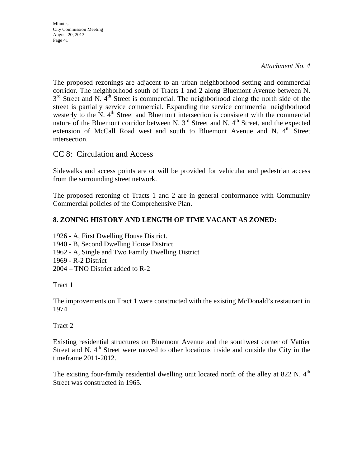**Minutes** City Commission Meeting August 20, 2013 Page 41

*Attachment No. 4*

The proposed rezonings are adjacent to an urban neighborhood setting and commercial corridor. The neighborhood south of Tracts 1 and 2 along Bluemont Avenue between N.  $3<sup>rd</sup>$  Street and N. 4<sup>th</sup> Street is commercial. The neighborhood along the north side of the street is partially service commercial. Expanding the service commercial neighborhood westerly to the N.  $4<sup>th</sup>$  Street and Bluemont intersection is consistent with the commercial nature of the Bluemont corridor between N.  $3<sup>rd</sup>$  Street and N.  $4<sup>th</sup>$  Street, and the expected extension of McCall Road west and south to Bluemont Avenue and N.  $4<sup>th</sup>$  Street intersection.

CC 8: Circulation and Access

Sidewalks and access points are or will be provided for vehicular and pedestrian access from the surrounding street network.

The proposed rezoning of Tracts 1 and 2 are in general conformance with Community Commercial policies of the Comprehensive Plan.

## **8. ZONING HISTORY AND LENGTH OF TIME VACANT AS ZONED:**

1926 - A, First Dwelling House District.

- 1940 B, Second Dwelling House District
- 1962 A, Single and Two Family Dwelling District
- 1969 R-2 District
- 2004 TNO District added to R-2

Tract 1

The improvements on Tract 1 were constructed with the existing McDonald's restaurant in 1974.

Tract 2

Existing residential structures on Bluemont Avenue and the southwest corner of Vattier Street and N. 4<sup>th</sup> Street were moved to other locations inside and outside the City in the timeframe 2011-2012.

The existing four-family residential dwelling unit located north of the alley at 822 N.  $4<sup>th</sup>$ Street was constructed in 1965.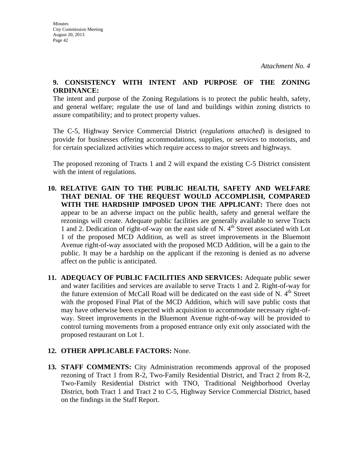### **9. CONSISTENCY WITH INTENT AND PURPOSE OF THE ZONING ORDINANCE:**

The intent and purpose of the Zoning Regulations is to protect the public health, safety, and general welfare; regulate the use of land and buildings within zoning districts to assure compatibility; and to protect property values.

The C-5, Highway Service Commercial District (*regulations attached*) is designed to provide for businesses offering accommodations, supplies, or services to motorists, and for certain specialized activities which require access to major streets and highways.

The proposed rezoning of Tracts 1 and 2 will expand the existing C-5 District consistent with the intent of regulations.

- **10. RELATIVE GAIN TO THE PUBLIC HEALTH, SAFETY AND WELFARE THAT DENIAL OF THE REQUEST WOULD ACCOMPLISH, COMPARED WITH THE HARDSHIP IMPOSED UPON THE APPLICANT:** There does not appear to be an adverse impact on the public health, safety and general welfare the rezonings will create. Adequate public facilities are generally available to serve Tracts 1 and 2. Dedication of right-of-way on the east side of N.  $4<sup>th</sup>$  Street associated with Lot 1 of the proposed MCD Addition, as well as street improvements in the Bluemont Avenue right-of-way associated with the proposed MCD Addition, will be a gain to the public. It may be a hardship on the applicant if the rezoning is denied as no adverse affect on the public is anticipated.
- **11. ADEQUACY OF PUBLIC FACILITIES AND SERVICES:** Adequate public sewer and water facilities and services are available to serve Tracts 1 and 2. Right-of-way for the future extension of McCall Road will be dedicated on the east side of N.  $4<sup>th</sup>$  Street with the proposed Final Plat of the MCD Addition, which will save public costs that may have otherwise been expected with acquisition to accommodate necessary right-ofway. Street improvements in the Bluemont Avenue right-of-way will be provided to control turning movements from a proposed entrance only exit only associated with the proposed restaurant on Lot 1.

## **12. OTHER APPLICABLE FACTORS:** None.

**13. STAFF COMMENTS:** City Administration recommends approval of the proposed rezoning of Tract 1 from R-2, Two-Family Residential District, and Tract 2 from R-2, Two-Family Residential District with TNO, Traditional Neighborhood Overlay District, both Tract 1 and Tract 2 to C-5, Highway Service Commercial District, based on the findings in the Staff Report.